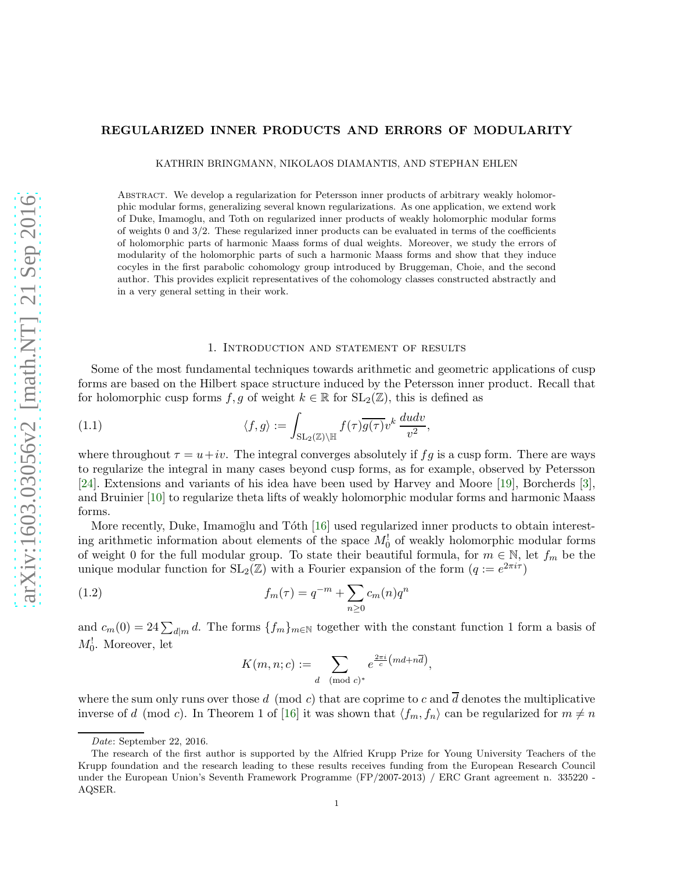# REGULARIZED INNER PRODUCTS AND ERRORS OF MODULARITY

KATHRIN BRINGMANN, NIKOLAOS DIAMANTIS, AND STEPHAN EHLEN

Abstract. We develop a regularization for Petersson inner products of arbitrary weakly holomorphic modular forms, generalizing several known regularizations. As one application, we extend work of Duke, Imamoglu, and Toth on regularized inner products of weakly holomorphic modular forms of weights 0 and 3/2. These regularized inner products can be evaluated in terms of the coefficients of holomorphic parts of harmonic Maass forms of dual weights. Moreover, we study the errors of modularity of the holomorphic parts of such a harmonic Maass forms and show that they induce cocyles in the first parabolic cohomology group introduced by Bruggeman, Choie, and the second author. This provides explicit representatives of the cohomology classes constructed abstractly and in a very general setting in their work.

### 1. Introduction and statement of results

Some of the most fundamental techniques towards arithmetic and geometric applications of cusp forms are based on the Hilbert space structure induced by the Petersson inner product. Recall that for holomorphic cusp forms f, g of weight  $k \in \mathbb{R}$  for  $SL_2(\mathbb{Z})$ , this is defined as

(1.1) 
$$
\langle f, g \rangle := \int_{\mathrm{SL}_2(\mathbb{Z}) \backslash \mathbb{H}} f(\tau) \overline{g(\tau)} v^k \, \frac{du dv}{v^2},
$$

where throughout  $\tau = u + iv$ . The integral converges absolutely if fg is a cusp form. There are ways to regularize the integral in many cases beyond cusp forms, as for example, observed by Petersson [\[24\]](#page-26-0). Extensions and variants of his idea have been used by Harvey and Moore [\[19](#page-25-0)], Borcherds [\[3](#page-25-1)], and Bruinier [\[10](#page-25-2)] to regularize theta lifts of weakly holomorphic modular forms and harmonic Maass forms.

More recently, Duke, Imamoglu and Tóth [\[16](#page-25-3)] used regularized inner products to obtain interesting arithmetic information about elements of the space  $M_0^!$  of weakly holomorphic modular forms of weight 0 for the full modular group. To state their beautiful formula, for  $m \in \mathbb{N}$ , let  $f_m$  be the unique modular function for  $SL_2(\mathbb{Z})$  with a Fourier expansion of the form  $(q := e^{2\pi i \tau})$ 

(1.2) 
$$
f_m(\tau) = q^{-m} + \sum_{n\geq 0} c_m(n) q^n
$$

and  $c_m(0) = 24 \sum_{d|m} d$ . The forms  $\{f_m\}_{m\in\mathbb{N}}$  together with the constant function 1 form a basis of  $M_0^!$ . Moreover, let

<span id="page-0-0"></span>
$$
K(m, n; c) := \sum_{d \pmod{c}^*} e^{\frac{2\pi i}{c}(md + n\overline{d})},
$$

where the sum only runs over those d (mod c) that are coprime to c and  $\overline{d}$  denotes the multiplicative inverse of d (mod c). In Theorem 1 of [\[16](#page-25-3)] it was shown that  $\langle f_m, f_n \rangle$  can be regularized for  $m \neq n$ 

Date: September 22, 2016.

The research of the first author is supported by the Alfried Krupp Prize for Young University Teachers of the Krupp foundation and the research leading to these results receives funding from the European Research Council under the European Union's Seventh Framework Programme (FP/2007-2013) / ERC Grant agreement n. 335220 - AQSER.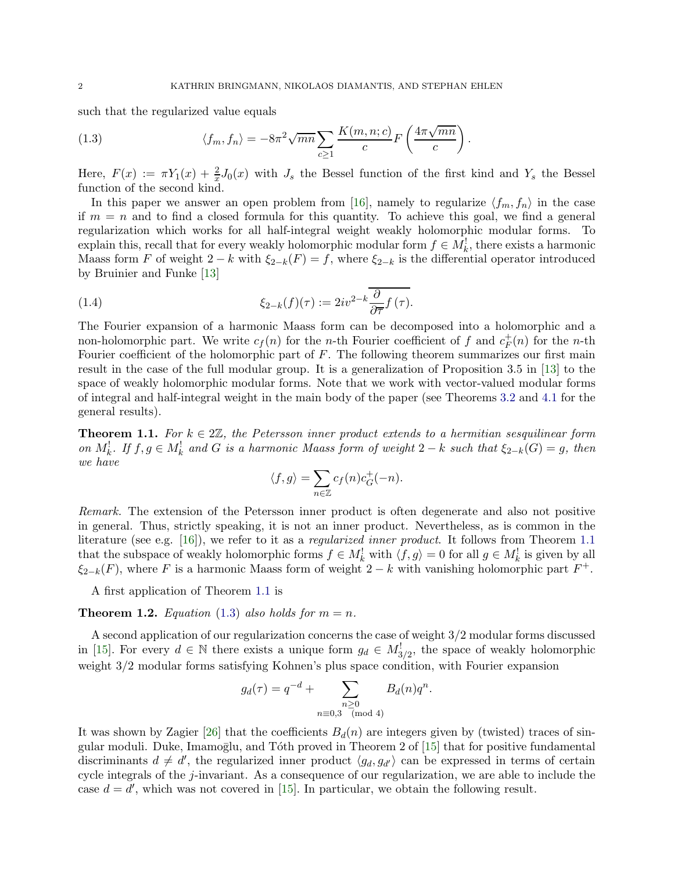such that the regularized value equals

<span id="page-1-1"></span>(1.3) 
$$
\langle f_m, f_n \rangle = -8\pi^2 \sqrt{mn} \sum_{c \ge 1} \frac{K(m, n; c)}{c} F\left(\frac{4\pi \sqrt{mn}}{c}\right)
$$

Here,  $F(x) := \pi Y_1(x) + \frac{2}{x} J_0(x)$  with  $J_s$  the Bessel function of the first kind and  $Y_s$  the Bessel function of the second kind.

.

In this paper we answer an open problem from [\[16](#page-25-3)], namely to regularize  $\langle f_m, f_n \rangle$  in the case if  $m = n$  and to find a closed formula for this quantity. To achieve this goal, we find a general regularization which works for all half-integral weight weakly holomorphic modular forms. To explain this, recall that for every weakly holomorphic modular form  $f \in M_k^!$ , there exists a harmonic Maass form F of weight  $2 - k$  with  $\xi_{2-k}(F) = f$ , where  $\xi_{2-k}$  is the differential operator introduced by Bruinier and Funke [\[13](#page-25-4)]

(1.4) 
$$
\xi_{2-k}(f)(\tau) := 2iv^{2-k}\overline{\frac{\partial}{\partial \overline{\tau}}f(\tau)}.
$$

The Fourier expansion of a harmonic Maass form can be decomposed into a holomorphic and a non-holomorphic part. We write  $c_f(n)$  for the *n*-th Fourier coefficient of f and  $c_F^+$  $^{\dagger}_{F}(n)$  for the *n*-th Fourier coefficient of the holomorphic part of  $F$ . The following theorem summarizes our first main result in the case of the full modular group. It is a generalization of Proposition 3.5 in [\[13](#page-25-4)] to the space of weakly holomorphic modular forms. Note that we work with vector-valued modular forms of integral and half-integral weight in the main body of the paper (see Theorems [3.2](#page-11-0) and [4.1](#page-13-0) for the general results).

<span id="page-1-0"></span>**Theorem 1.1.** For  $k \in 2\mathbb{Z}$ , the Petersson inner product extends to a hermitian sesquilinear form on  $M_k^!$ . If  $f, g \in M_k^!$  and G is a harmonic Maass form of weight  $2-k$  such that  $\xi_{2-k}(G) = g$ , then we have

<span id="page-1-3"></span>
$$
\langle f, g \rangle = \sum_{n \in \mathbb{Z}} c_f(n) c_G^+(-n).
$$

Remark. The extension of the Petersson inner product is often degenerate and also not positive in general. Thus, strictly speaking, it is not an inner product. Nevertheless, as is common in the literature (see e.g. [\[16\]](#page-25-3)), we refer to it as a regularized inner product. It follows from Theorem [1.1](#page-1-0) that the subspace of weakly holomorphic forms  $f \in M_k^!$  with  $\langle f, g \rangle = 0$  for all  $g \in M_k^!$  is given by all  $\xi_{2-k}(F)$ , where F is a harmonic Maass form of weight  $2-k$  with vanishing holomorphic part  $F^+$ .

A first application of Theorem [1.1](#page-1-0) is

<span id="page-1-2"></span>**Theorem 1.2.** Equation [\(1.3\)](#page-1-1) also holds for  $m = n$ .

A second application of our regularization concerns the case of weight 3/2 modular forms discussed in [\[15](#page-25-5)]. For every  $d \in \mathbb{N}$  there exists a unique form  $g_d \in M_{3/2}^!$ , the space of weakly holomorphic weight 3/2 modular forms satisfying Kohnen's plus space condition, with Fourier expansion

$$
g_d(\tau) = q^{-d} + \sum_{\substack{n \ge 0 \\ n \equiv 0,3 \pmod{4}}} B_d(n)q^n.
$$

It was shown by Zagier [\[26](#page-26-1)] that the coefficients  $B_d(n)$  are integers given by (twisted) traces of singular moduli. Duke, Imamoglu, and Tóth proved in Theorem 2 of  $[15]$  that for positive fundamental discriminants  $d \neq d'$ , the regularized inner product  $\langle g_d, g_{d'} \rangle$  can be expressed in terms of certain cycle integrals of the j-invariant. As a consequence of our regularization, we are able to include the case  $d = d'$ , which was not covered in [\[15\]](#page-25-5). In particular, we obtain the following result.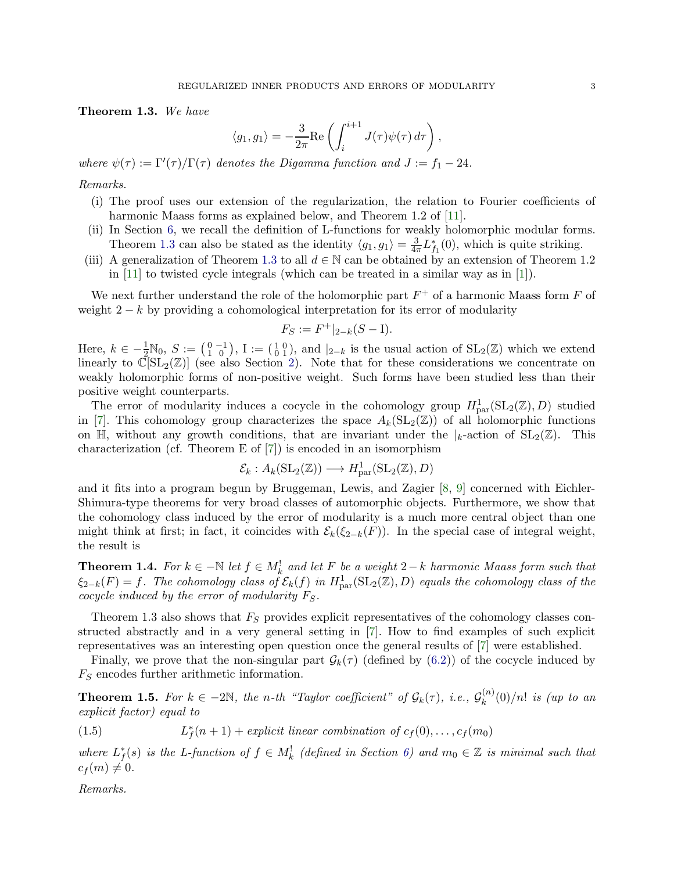<span id="page-2-0"></span>Theorem 1.3. We have

$$
\langle g_1, g_1 \rangle = -\frac{3}{2\pi} \text{Re} \left( \int_i^{i+1} J(\tau) \psi(\tau) d\tau \right),
$$

where  $\psi(\tau) := \Gamma'(\tau)/\Gamma(\tau)$  denotes the Digamma function and  $J := f_1 - 24$ .

## Remarks.

- (i) The proof uses our extension of the regularization, the relation to Fourier coefficients of harmonic Maass forms as explained below, and Theorem 1.2 of [\[11\]](#page-25-6).
- (ii) In Section [6,](#page-23-0) we recall the definition of L-functions for weakly holomorphic modular forms. Theorem [1.3](#page-2-0) can also be stated as the identity  $\langle g_1, g_1 \rangle = \frac{3}{4\pi} L_{f_1}^*(0)$ , which is quite striking.
- (iii) A generalization of Theorem [1.3](#page-2-0) to all  $d \in \mathbb{N}$  can be obtained by an extension of Theorem 1.2 in [\[11\]](#page-25-6) to twisted cycle integrals (which can be treated in a similar way as in [\[1](#page-25-7)]).

We next further understand the role of the holomorphic part  $F^+$  of a harmonic Maass form F of weight  $2 - k$  by providing a cohomological interpretation for its error of modularity

$$
F_S := F^+|_{2-k}(S - I).
$$

Here,  $k \in -\frac{1}{2}N_0$ ,  $S := \begin{pmatrix} 0 & -1 \\ 1 & 0 \end{pmatrix}$ ,  $I := \begin{pmatrix} 1 & 0 \\ 0 & 1 \end{pmatrix}$ , and  $|_{2-k}$  is the usual action of  $SL_2(\mathbb{Z})$  which we extend linearly to  $\mathbb{C}[\mathrm{SL}_2(\mathbb{Z})]$  (see also Section [2\)](#page-3-0). Note that for these considerations we concentrate on weakly holomorphic forms of non-positive weight. Such forms have been studied less than their positive weight counterparts.

The error of modularity induces a cocycle in the cohomology group  $H^1_{\text{par}}(SL_2(\mathbb{Z}), D)$  studied in [\[7\]](#page-25-8). This cohomology group characterizes the space  $A_k(SL_2(\mathbb{Z}))$  of all holomorphic functions on  $\mathbb{H}$ , without any growth conditions, that are invariant under the  $|k|$ -action of  $SL_2(\mathbb{Z})$ . This characterization (cf. Theorem E of [\[7](#page-25-8)]) is encoded in an isomorphism

$$
\mathcal{E}_k : A_k(\mathop{\mathrm{SL}}\nolimits_2(\mathbb{Z})) \longrightarrow H^1_{\text{par}}(\mathop{\mathrm{SL}}\nolimits_2(\mathbb{Z}), D)
$$

and it fits into a program begun by Bruggeman, Lewis, and Zagier [\[8,](#page-25-9) [9](#page-25-10)] concerned with Eichler-Shimura-type theorems for very broad classes of automorphic objects. Furthermore, we show that the cohomology class induced by the error of modularity is a much more central object than one might think at first; in fact, it coincides with  $\mathcal{E}_k(\xi_{2-k}(F))$ . In the special case of integral weight, the result is

**Theorem 1.4.** For  $k \in \mathbb{N}$  let  $f \in M_k^!$  and let F be a weight  $2-k$  harmonic Maass form such that  $\xi_{2-k}(F) = f$ . The cohomology class of  $\mathcal{E}_k(f)$  in  $H^1_{\text{par}}(\text{SL}_2(\mathbb{Z}), D)$  equals the cohomology class of the cocycle induced by the error of modularity  $F_S$ .

Theorem 1.3 also shows that  $F<sub>S</sub>$  provides explicit representatives of the cohomology classes constructed abstractly and in a very general setting in [\[7](#page-25-8)]. How to find examples of such explicit representatives was an interesting open question once the general results of [\[7\]](#page-25-8) were established.

Finally, we prove that the non-singular part  $\mathcal{G}_k(\tau)$  (defined by [\(6.2\)](#page-23-1)) of the cocycle induced by  $F_S$  encodes further arithmetic information.

**Theorem 1.5.** For  $k \in -2\mathbb{N}$ , the n-th "Taylor coefficient" of  $\mathcal{G}_k(\tau)$ , i.e.,  $\mathcal{G}_k^{(n)}$  $\binom{n}{k}(0)/n!$  is (up to an explicit factor) equal to

<span id="page-2-1"></span> $(1.5)$  $f(r+1) + explicit\ linear\ combination\ of\ c_f(0), \ldots, c_f(m_0)$ 

where  $L_f^*(s)$  is the L-function of  $f \in M_k^!$  (defined in Section [6\)](#page-23-0) and  $m_0 \in \mathbb{Z}$  is minimal such that  $c_f(m) \neq 0.$ 

Remarks.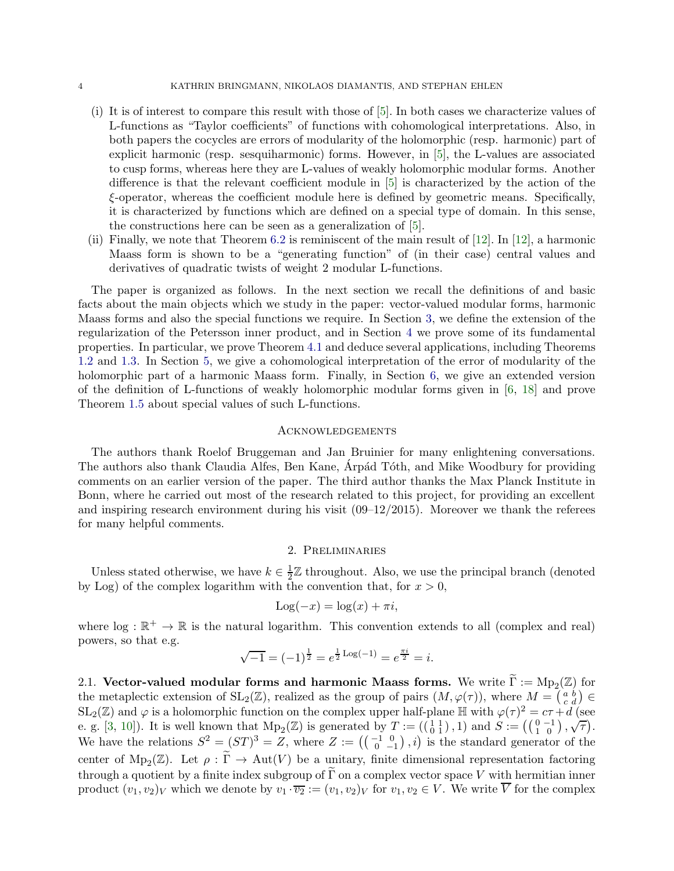- (i) It is of interest to compare this result with those of [\[5\]](#page-25-11). In both cases we characterize values of L-functions as "Taylor coefficients" of functions with cohomological interpretations. Also, in both papers the cocycles are errors of modularity of the holomorphic (resp. harmonic) part of explicit harmonic (resp. sesquiharmonic) forms. However, in [\[5](#page-25-11)], the L-values are associated to cusp forms, whereas here they are L-values of weakly holomorphic modular forms. Another difference is that the relevant coefficient module in [\[5](#page-25-11)] is characterized by the action of the ξ-operator, whereas the coefficient module here is defined by geometric means. Specifically, it is characterized by functions which are defined on a special type of domain. In this sense, the constructions here can be seen as a generalization of [\[5](#page-25-11)].
- (ii) Finally, we note that Theorem [6.2](#page-24-0) is reminiscent of the main result of [\[12](#page-25-12)]. In [\[12](#page-25-12)], a harmonic Maass form is shown to be a "generating function" of (in their case) central values and derivatives of quadratic twists of weight 2 modular L-functions.

The paper is organized as follows. In the next section we recall the definitions of and basic facts about the main objects which we study in the paper: vector-valued modular forms, harmonic Maass forms and also the special functions we require. In Section [3,](#page-10-0) we define the extension of the regularization of the Petersson inner product, and in Section [4](#page-13-1) we prove some of its fundamental properties. In particular, we prove Theorem [4.1](#page-13-0) and deduce several applications, including Theorems [1.2](#page-1-2) and [1.3.](#page-2-0) In Section [5,](#page-16-0) we give a cohomological interpretation of the error of modularity of the holomorphic part of a harmonic Maass form. Finally, in Section [6,](#page-23-0) we give an extended version of the definition of L-functions of weakly holomorphic modular forms given in [\[6,](#page-25-13) [18](#page-25-14)] and prove Theorem [1.5](#page-2-1) about special values of such L-functions.

### **ACKNOWLEDGEMENTS**

The authors thank Roelof Bruggeman and Jan Bruinier for many enlightening conversations. The authors also thank Claudia Alfes, Ben Kane, Arpád Tóth, and Mike Woodbury for providing comments on an earlier version of the paper. The third author thanks the Max Planck Institute in Bonn, where he carried out most of the research related to this project, for providing an excellent and inspiring research environment during his visit  $(09-12/2015)$ . Moreover we thank the referees for many helpful comments.

# 2. Preliminaries

<span id="page-3-0"></span>Unless stated otherwise, we have  $k \in \frac{1}{2}$  $\frac{1}{2}\mathbb{Z}$  throughout. Also, we use the principal branch (denoted by Log) of the complex logarithm with the convention that, for  $x > 0$ ,

$$
Log(-x) = log(x) + \pi i,
$$

where  $\log : \mathbb{R}^+ \to \mathbb{R}$  is the natural logarithm. This convention extends to all (complex and real) powers, so that e.g.

$$
\sqrt{-1} = (-1)^{\frac{1}{2}} = e^{\frac{1}{2} \operatorname{Log}(-1)} = e^{\frac{\pi i}{2}} = i.
$$

2.1. Vector-valued modular forms and harmonic Maass forms. We write  $\Gamma := \text{Mp}_2(\mathbb{Z})$  for the metaplectic extension of  $SL_2(\mathbb{Z})$ , realized as the group of pairs  $(M, \varphi(\tau))$ , where  $M = \begin{pmatrix} a & b \\ c & d \end{pmatrix} \in$  $SL_2(\mathbb{Z})$  and  $\varphi$  is a holomorphic function on the complex upper half-plane  $\mathbb{H}$  with  $\varphi(\tau)^2 = c\tau + d$  (see e. g. [\[3,](#page-25-1) [10](#page-25-2)]). It is well known that  $Mp_2(\mathbb{Z})$  is generated by  $T := (\begin{pmatrix} 1 & 1 \\ 0 & 1 \end{pmatrix}, 1)$  and  $S := (\begin{pmatrix} 0 & -1 \\ 1 & 0 \end{pmatrix}, \sqrt{\tau})$ . We have the relations  $S^2 = (ST)^3 = Z$ , where  $Z := \left( \begin{pmatrix} -1 & 0 \\ 0 & -1 \end{pmatrix}, i \right)$  is the standard generator of the center of  $Mp_2(\mathbb{Z})$ . Let  $\rho : \Gamma \to Aut(V)$  be a unitary, finite dimensional representation factoring through a quotient by a finite index subgroup of  $\widetilde{\Gamma}$  on a complex vector space V with hermitian inner product  $(v_1, v_2)_V$  which we denote by  $v_1 \cdot \overline{v_2} := (v_1, v_2)_V$  for  $v_1, v_2 \in V$ . We write  $\overline{V}$  for the complex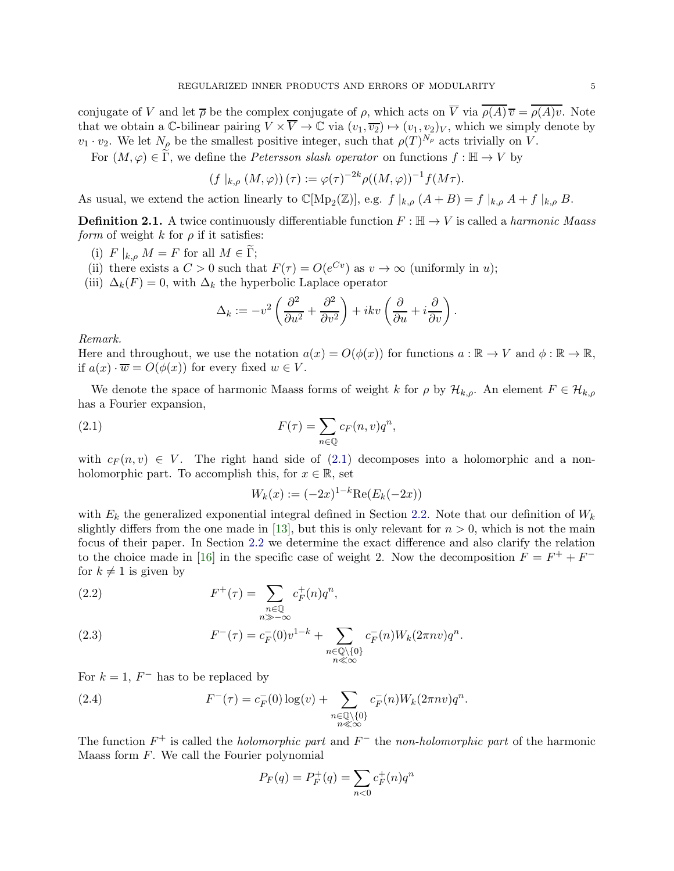conjugate of V and let  $\overline{\rho}$  be the complex conjugate of  $\rho$ , which acts on  $\overline{V}$  via  $\overline{\rho(A)}\overline{v} = \overline{\rho(A)v}$ . Note that we obtain a C-bilinear pairing  $V \times \overline{V} \to \mathbb{C}$  via  $(v_1, \overline{v_2}) \mapsto (v_1, v_2)_V$ , which we simply denote by  $v_1 \cdot v_2$ . We let  $N_{\rho}$  be the smallest positive integer, such that  $\rho(T)^{N_{\rho}}$  acts trivially on V.

For  $(M, \varphi) \in \widetilde{\Gamma}$ , we define the *Petersson slash operator* on functions  $f : \mathbb{H} \to V$  by

$$
(f |_{k,\rho} (M,\varphi))(\tau) := \varphi(\tau)^{-2k} \rho((M,\varphi))^{-1} f(M\tau).
$$

As usual, we extend the action linearly to  $\mathbb{C}[\mathrm{Mp}_2(\mathbb{Z})]$ , e.g.  $f|_{k,\rho}(A+B) = f|_{k,\rho}A+f|_{k,\rho}B$ .

**Definition 2.1.** A twice continuously differentiable function  $F : \mathbb{H} \to V$  is called a *harmonic Maass form* of weight k for  $\rho$  if it satisfies:

- (i)  $F |_{k,\rho} M = F$  for all  $M \in \widetilde{\Gamma}$ ;
- (ii) there exists a  $C > 0$  such that  $F(\tau) = O(e^{Cv})$  as  $v \to \infty$  (uniformly in u);
- (iii)  $\Delta_k(F) = 0$ , with  $\Delta_k$  the hyperbolic Laplace operator

$$
\Delta_k := -v^2 \left( \frac{\partial^2}{\partial u^2} + \frac{\partial^2}{\partial v^2} \right) + ikv \left( \frac{\partial}{\partial u} + i \frac{\partial}{\partial v} \right).
$$

Remark.

Here and throughout, we use the notation  $a(x) = O(\phi(x))$  for functions  $a : \mathbb{R} \to V$  and  $\phi : \mathbb{R} \to \mathbb{R}$ , if  $a(x) \cdot \overline{w} = O(\phi(x))$  for every fixed  $w \in V$ .

We denote the space of harmonic Maass forms of weight k for  $\rho$  by  $\mathcal{H}_{k,\rho}$ . An element  $F \in \mathcal{H}_{k,\rho}$ has a Fourier expansion,

(2.1) 
$$
F(\tau) = \sum_{n \in \mathbb{Q}} c_F(n, v) q^n,
$$

with  $c_F(n, v) \in V$ . The right hand side of [\(2.1\)](#page-4-0) decomposes into a holomorphic and a nonholomorphic part. To accomplish this, for  $x \in \mathbb{R}$ , set

<span id="page-4-0"></span>
$$
W_k(x) := (-2x)^{1-k} \text{Re}(E_k(-2x))
$$

with  $E_k$  the generalized exponential integral defined in Section [2.2.](#page-7-0) Note that our definition of  $W_k$ slightly differs from the one made in [\[13](#page-25-4)], but this is only relevant for  $n > 0$ , which is not the main focus of their paper. In Section [2.2](#page-7-0) we determine the exact difference and also clarify the relation to the choice made in [\[16\]](#page-25-3) in the specific case of weight 2. Now the decomposition  $F = F^+ + F^$ for  $k \neq 1$  is given by

(2.2) 
$$
F^+(\tau) = \sum_{\substack{n \in \mathbb{Q} \\ n \gg -\infty}} c_F^+(n) q^n,
$$

<span id="page-4-1"></span>(2.3) 
$$
F^{-}(\tau) = c_F^{-}(0)v^{1-k} + \sum_{\substack{n \in \mathbb{Q} \setminus \{0\} \\ n \ll \infty}} c_F^{-}(n)W_k(2\pi nv)q^n.
$$

For  $k = 1$ ,  $F^-$  has to be replaced by

(2.4) 
$$
F^{-}(\tau) = c_F^{-}(0) \log(v) + \sum_{\substack{n \in \mathbb{Q} \setminus \{0\} \\ n \ll \infty}} c_F^{-}(n) W_k(2\pi n v) q^n.
$$

The function  $F^+$  is called the *holomorphic part* and  $F^-$  the non-holomorphic part of the harmonic Maass form  $F$ . We call the Fourier polynomial

$$
P_F(q) = P_F^+(q) = \sum_{n < 0} c_F^+(n) q^n
$$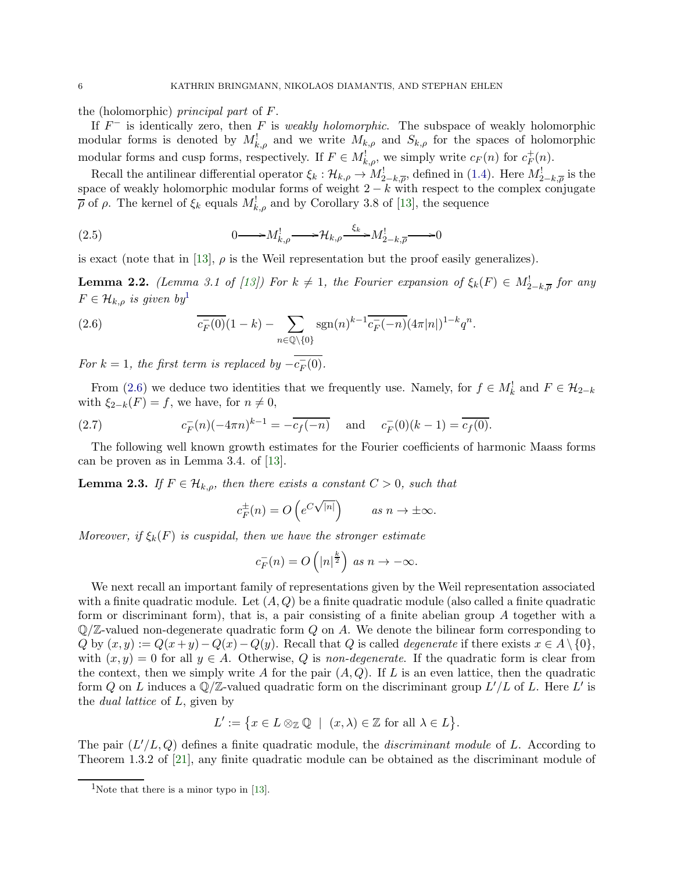the (holomorphic) principal part of F.

If  $F^-$  is identically zero, then F is weakly holomorphic. The subspace of weakly holomorphic modular forms is denoted by  $M_{k,\rho}^!$  and we write  $M_{k,\rho}$  and  $S_{k,\rho}$  for the spaces of holomorphic modular forms and cusp forms, respectively. If  $F \in M^!_{k,\rho}$ , we simply write  $c_F(n)$  for  $c_F^+$  $_F^+(n)$ .

Recall the antilinear differential operator  $\xi_k : \mathcal{H}_{k,\rho} \to M^!_{2-k,\overline{\rho}}$ , defined in [\(1.4\)](#page-1-3). Here  $M^!_{2-k,\overline{\rho}}$  is the space of weakly holomorphic modular forms of weight  $2 - k$  with respect to the complex conjugate  $\overline{\rho}$  of  $\rho$ . The kernel of  $\xi_k$  equals  $M^!_{k,\rho}$  and by Corollary 3.8 of [\[13](#page-25-4)], the sequence

<span id="page-5-3"></span>(2.5) 
$$
0 \longrightarrow M_{k,\rho}^{!} \longrightarrow \mathcal{H}_{k,\rho} \xrightarrow{\xi_{k}} M_{2-k,\overline{\rho}}^{!} \longrightarrow 0
$$

is exact (note that in [\[13](#page-25-4)],  $\rho$  is the Weil representation but the proof easily generalizes).

**Lemma 2.2.** (Lemma 3.1 of [\[13](#page-25-4)]) For  $k \neq 1$ , the Fourier expansion of  $\xi_k(F) \in M^!_{2-k,\overline{\rho}}$  for any  $F \in \mathcal{H}_{k,\rho}$  is given by

<span id="page-5-1"></span>(2.6) 
$$
\overline{c_F^-(0)}(1-k) - \sum_{n \in \mathbb{Q}\backslash \{0\}} \text{sgn}(n)^{k-1} \overline{c_F^-(n)} (4\pi |n|)^{1-k} q^n.
$$

For  $k = 1$ , the first term is replaced by  $-c_F^-(0)$ .

From [\(2.6\)](#page-5-1) we deduce two identities that we frequently use. Namely, for  $f \in M_k^!$  and  $F \in \mathcal{H}_{2-k}$ with  $\xi_{2-k}(F) = f$ , we have, for  $n \neq 0$ ,

(2.7) 
$$
c_F^-(n)(-4\pi n)^{k-1} = -\overline{c_f(-n)} \quad \text{and} \quad c_F^-(0)(k-1) = \overline{c_f(0)}.
$$

The following well known growth estimates for the Fourier coefficients of harmonic Maass forms can be proven as in Lemma 3.4. of [\[13](#page-25-4)].

<span id="page-5-2"></span>**Lemma 2.3.** If  $F \in \mathcal{H}_{k,o}$ , then there exists a constant  $C > 0$ , such that

<span id="page-5-4"></span>
$$
c_F^{\pm}(n) = O\left(e^{C\sqrt{|n|}}\right) \qquad \text{as } n \to \pm \infty.
$$

Moreover, if  $\xi_k(F)$  is cuspidal, then we have the stronger estimate

$$
c_F^-(n) = O\left(|n|^{\frac{k}{2}}\right) \text{ as } n \to -\infty.
$$

We next recall an important family of representations given by the Weil representation associated with a finite quadratic module. Let  $(A, Q)$  be a finite quadratic module (also called a finite quadratic form or discriminant form), that is, a pair consisting of a finite abelian group A together with a  $\mathbb{Q}/\mathbb{Z}$ -valued non-degenerate quadratic form Q on A. We denote the bilinear form corresponding to  $Q$  by  $(x, y) := Q(x+y) - Q(x) - Q(y)$ . Recall that  $Q$  is called *degenerate* if there exists  $x \in A \setminus \{0\}$ , with  $(x, y) = 0$  for all  $y \in A$ . Otherwise, Q is non-degenerate. If the quadratic form is clear from the context, then we simply write A for the pair  $(A, Q)$ . If L is an even lattice, then the quadratic form Q on L induces a  $\mathbb{Q}/\mathbb{Z}$ -valued quadratic form on the discriminant group  $L'/L$  of L. Here  $L'$  is the dual lattice of L, given by

$$
L':=\big\{x\in L\otimes_{\mathbb{Z}}\mathbb{Q}\ |\ (x,\lambda)\in\mathbb{Z}\text{ for all }\lambda\in L\big\}.
$$

The pair  $(L'/L, Q)$  defines a finite quadratic module, the *discriminant module* of L. According to Theorem 1.3.2 of [\[21](#page-26-2)], any finite quadratic module can be obtained as the discriminant module of

<span id="page-5-0"></span><sup>&</sup>lt;sup>1</sup>Note that there is a minor typo in [\[13](#page-25-4)].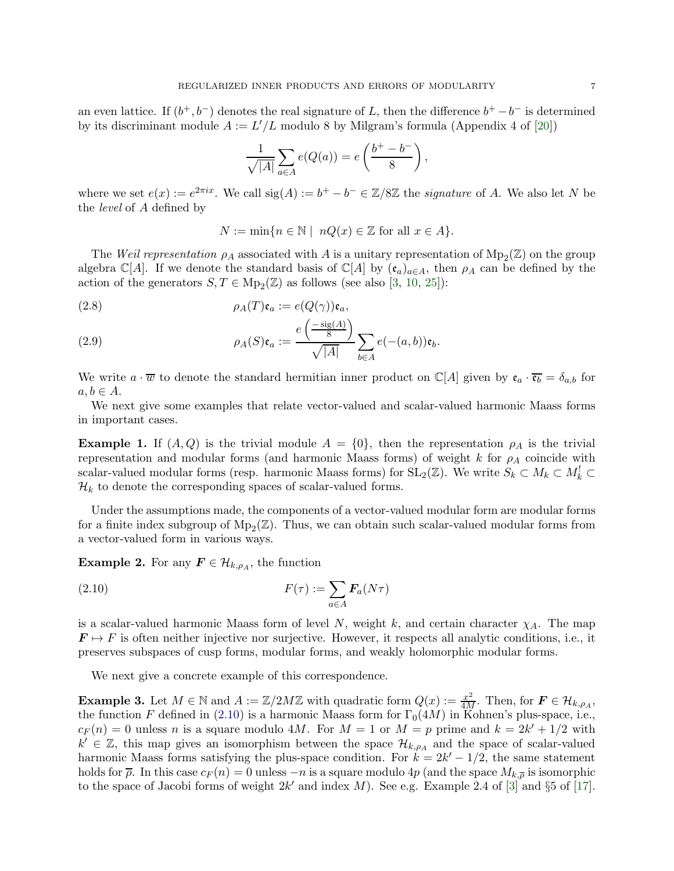an even lattice. If  $(b^+, b^-)$  denotes the real signature of L, then the difference  $b^+ - b^-$  is determined by its discriminant module  $A := L'/L$  modulo 8 by Milgram's formula (Appendix 4 of [\[20](#page-26-3)])

$$
\frac{1}{\sqrt{|A|}}\sum_{a\in A}e(Q(a)) = e\left(\frac{b^+ - b^-}{8}\right),\,
$$

where we set  $e(x) := e^{2\pi ix}$ . We call  $sig(A) := b^+ - b^- \in \mathbb{Z}/8\mathbb{Z}$  the *signature* of A. We also let N be the level of A defined by

$$
N := \min\{n \in \mathbb{N} \mid nQ(x) \in \mathbb{Z} \text{ for all } x \in A\}.
$$

The Weil representation  $\rho_A$  associated with A is a unitary representation of  $Mp_2(\mathbb{Z})$  on the group algebra C[A]. If we denote the standard basis of C[A] by  $(\mathfrak{e}_a)_{a\in A}$ , then  $\rho_A$  can be defined by the action of the generators  $S, T \in \text{Mp}_2(\mathbb{Z})$  as follows (see also [\[3](#page-25-1), [10,](#page-25-2) [25](#page-26-4)]):

(2.8) 
$$
\rho_A(T)\mathfrak{e}_a := e(Q(\gamma))\mathfrak{e}_a,
$$

(2.9) 
$$
\rho_A(S)\mathfrak{e}_a := \frac{e\left(\frac{-\operatorname{sig}(A)}{8}\right)}{\sqrt{|A|}} \sum_{b \in A} e(-(a, b))\mathfrak{e}_b.
$$

We write  $a \cdot \overline{w}$  to denote the standard hermitian inner product on  $\mathbb{C}[A]$  given by  $\mathfrak{e}_a \cdot \overline{\mathfrak{e}_b} = \delta_{a,b}$  for  $a, b \in A$ .

We next give some examples that relate vector-valued and scalar-valued harmonic Maass forms in important cases.

**Example 1.** If  $(A, Q)$  is the trivial module  $A = \{0\}$ , then the representation  $\rho_A$  is the trivial representation and modular forms (and harmonic Maass forms) of weight k for  $\rho_A$  coincide with scalar-valued modular forms (resp. harmonic Maass forms) for  $SL_2(\mathbb{Z})$ . We write  $S_k \subset M_k \subset M_k^! \subset$  $\mathcal{H}_k$  to denote the corresponding spaces of scalar-valued forms.

Under the assumptions made, the components of a vector-valued modular form are modular forms for a finite index subgroup of  $Mp_2(\mathbb{Z})$ . Thus, we can obtain such scalar-valued modular forms from a vector-valued form in various ways.

**Example 2.** For any  $\mathbf{F} \in \mathcal{H}_{k,\rho_A}$ , the function

<span id="page-6-0"></span>(2.10) 
$$
F(\tau) := \sum_{a \in A} \mathbf{F}_a(N\tau)
$$

is a scalar-valued harmonic Maass form of level N, weight k, and certain character  $\chi_A$ . The map  $\mathbf{F} \mapsto F$  is often neither injective nor surjective. However, it respects all analytic conditions, i.e., it preserves subspaces of cusp forms, modular forms, and weakly holomorphic modular forms.

We next give a concrete example of this correspondence.

<span id="page-6-1"></span>**Example 3.** Let  $M \in \mathbb{N}$  and  $A := \mathbb{Z}/2M\mathbb{Z}$  with quadratic form  $Q(x) := \frac{x^2}{4M}$ . Then, for  $\mathbf{F} \in \mathcal{H}_{k,\rho_A}$ , the function F defined in [\(2.10\)](#page-6-0) is a harmonic Maass form for  $\Gamma_0(4M)$  in Kohnen's plus-space, i.e.,  $c_F(n) = 0$  unless n is a square modulo 4M. For  $M = 1$  or  $M = p$  prime and  $k = 2k' + 1/2$  with  $k' \in \mathbb{Z}$ , this map gives an isomorphism between the space  $\mathcal{H}_{k,\rho_A}$  and the space of scalar-valued harmonic Maass forms satisfying the plus-space condition. For  $k = 2k' - 1/2$ , the same statement holds for  $\bar{p}$ . In this case  $c_F(n) = 0$  unless  $-n$  is a square modulo  $4p$  (and the space  $M_{k,\bar{p}}$  is isomorphic to the space of Jacobi forms of weight  $2k'$  and index M). See e.g. Example 2.4 of [\[3](#page-25-1)] and  $\S5$  of [\[17](#page-25-15)].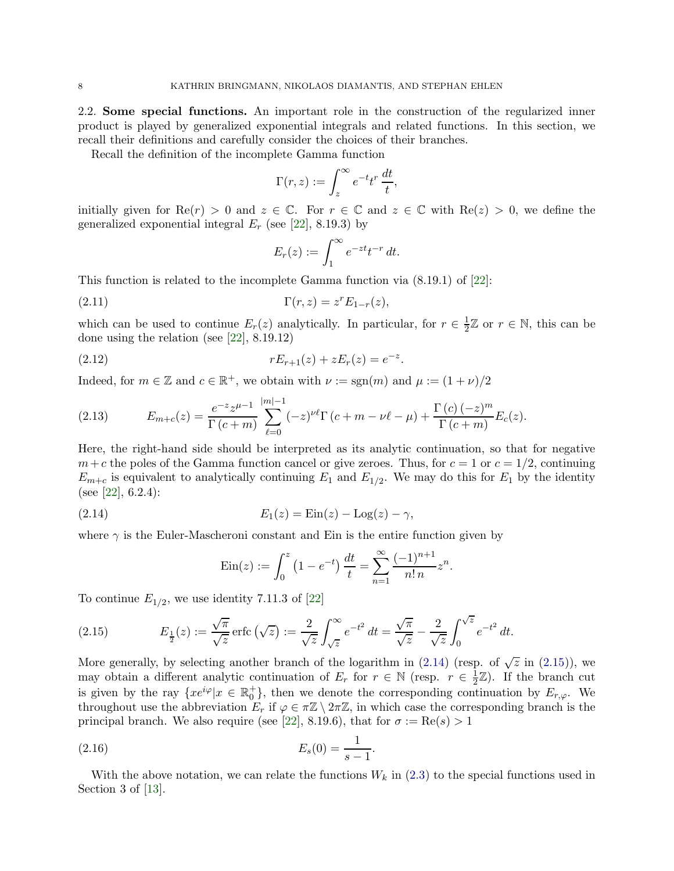<span id="page-7-0"></span>2.2. Some special functions. An important role in the construction of the regularized inner product is played by generalized exponential integrals and related functions. In this section, we recall their definitions and carefully consider the choices of their branches.

Recall the definition of the incomplete Gamma function

$$
\Gamma(r,z) := \int_z^{\infty} e^{-t} t^r \, \frac{dt}{t},
$$

initially given for  $\text{Re}(r) > 0$  and  $z \in \mathbb{C}$ . For  $r \in \mathbb{C}$  and  $z \in \mathbb{C}$  with  $\text{Re}(z) > 0$ , we define the generalized exponential integral  $E_r$  (see [\[22](#page-26-5)], 8.19.3) by

$$
E_r(z) := \int_1^\infty e^{-zt} t^{-r} dt.
$$

This function is related to the incomplete Gamma function via (8.19.1) of [\[22](#page-26-5)]:

(2.11) 
$$
\Gamma(r,z) = z^r E_{1-r}(z),
$$

which can be used to continue  $E_r(z)$  analytically. In particular, for  $r \in \frac{1}{2}$  $\frac{1}{2}\mathbb{Z}$  or  $r \in \mathbb{N}$ , this can be done using the relation (see [\[22](#page-26-5)], 8.19.12)

(2.12) 
$$
rE_{r+1}(z) + zE_r(z) = e^{-z}.
$$

Indeed, for  $m \in \mathbb{Z}$  and  $c \in \mathbb{R}^+$ , we obtain with  $\nu := \text{sgn}(m)$  and  $\mu := (1 + \nu)/2$ 

<span id="page-7-3"></span>(2.13) 
$$
E_{m+c}(z) = \frac{e^{-z}z^{\mu-1}}{\Gamma(c+m)} \sum_{\ell=0}^{|m|-1} (-z)^{\nu\ell} \Gamma(c+m-\nu\ell-\mu) + \frac{\Gamma(c)(-z)^m}{\Gamma(c+m)} E_c(z).
$$

Here, the right-hand side should be interpreted as its analytic continuation, so that for negative  $m+c$  the poles of the Gamma function cancel or give zeroes. Thus, for  $c=1$  or  $c=1/2$ , continuing  $E_{m+c}$  is equivalent to analytically continuing  $E_1$  and  $E_{1/2}$ . We may do this for  $E_1$  by the identity (see [\[22\]](#page-26-5),  $6.2.4$ ):

(2.14) 
$$
E_1(z) = \text{Ein}(z) - \text{Log}(z) - \gamma,
$$

where  $\gamma$  is the Euler-Mascheroni constant and Ein is the entire function given by

<span id="page-7-4"></span><span id="page-7-1"></span>
$$
\operatorname{Ein}(z) := \int_0^z \left(1 - e^{-t}\right) \frac{dt}{t} = \sum_{n=1}^\infty \frac{(-1)^{n+1}}{n! n} z^n.
$$

To continue  $E_{1/2}$ , we use identity 7.11.3 of [\[22](#page-26-5)]

<span id="page-7-2"></span>(2.15) 
$$
E_{\frac{1}{2}}(z) := \frac{\sqrt{\pi}}{\sqrt{z}} \operatorname{erfc}(\sqrt{z}) := \frac{2}{\sqrt{z}} \int_{\sqrt{z}}^{\infty} e^{-t^2} dt = \frac{\sqrt{\pi}}{\sqrt{z}} - \frac{2}{\sqrt{z}} \int_{0}^{\sqrt{z}} e^{-t^2} dt.
$$

More generally, by selecting another branch of the logarithm in [\(2.14\)](#page-7-1) (resp. of  $\sqrt{z}$  in [\(2.15\)](#page-7-2)), we may obtain a different analytic continuation of  $E_r$  for  $r \in \mathbb{N}$  (resp.  $r \in \frac{1}{2}$ )  $\frac{1}{2}\mathbb{Z}$ ). If the branch cut is given by the ray  $\{xe^{i\varphi}|x \in \mathbb{R}_0^+\}$ , then we denote the corresponding continuation by  $E_{r,\varphi}$ . We throughout use the abbreviation  $E_r$  if  $\varphi \in \pi \mathbb{Z} \setminus 2\pi \mathbb{Z}$ , in which case the corresponding branch is the principal branch. We also require (see [\[22\]](#page-26-5), 8.19.6), that for  $\sigma := \text{Re}(s) > 1$ 

(2.16) 
$$
E_s(0) = \frac{1}{s-1}.
$$

With the above notation, we can relate the functions  $W_k$  in [\(2.3\)](#page-4-1) to the special functions used in Section 3 of [\[13](#page-25-4)].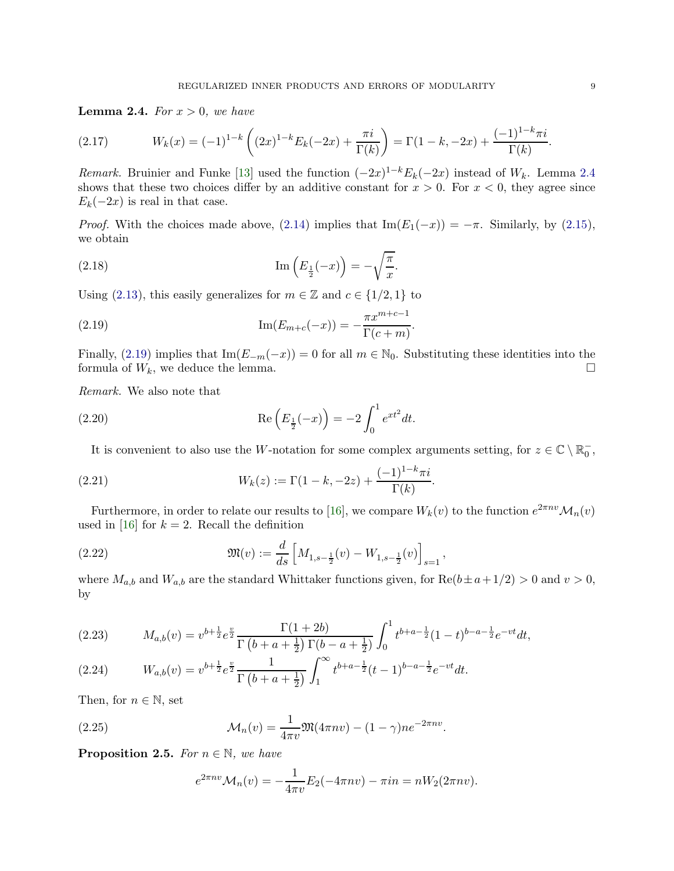<span id="page-8-0"></span>**Lemma 2.4.** For  $x > 0$ , we have

(2.17) 
$$
W_k(x) = (-1)^{1-k} \left( (2x)^{1-k} E_k(-2x) + \frac{\pi i}{\Gamma(k)} \right) = \Gamma(1-k, -2x) + \frac{(-1)^{1-k} \pi i}{\Gamma(k)}.
$$

Remark. Bruinier and Funke [\[13](#page-25-4)] used the function  $(-2x)^{1-k}E_k(-2x)$  instead of  $W_k$ . Lemma [2.4](#page-8-0) shows that these two choices differ by an additive constant for  $x > 0$ . For  $x < 0$ , they agree since  $E_k(-2x)$  is real in that case.

*Proof.* With the choices made above, [\(2.14\)](#page-7-1) implies that  $\text{Im}(E_1(-x)) = -\pi$ . Similarly, by [\(2.15\)](#page-7-2), we obtain

(2.18) 
$$
\operatorname{Im}\left(E_{\frac{1}{2}}(-x)\right) = -\sqrt{\frac{\pi}{x}}.
$$

Using [\(2.13\)](#page-7-3), this easily generalizes for  $m \in \mathbb{Z}$  and  $c \in \{1/2, 1\}$  to

<span id="page-8-1"></span>(2.19) 
$$
\operatorname{Im}(E_{m+c}(-x)) = -\frac{\pi x^{m+c-1}}{\Gamma(c+m)}.
$$

Finally, [\(2.19\)](#page-8-1) implies that Im( $E_{-m}(-x)$ ) = 0 for all  $m \in \mathbb{N}_0$ . Substituting these identities into the formula of  $W_k$ , we deduce the lemma. formula of  $W_k$ , we deduce the lemma.

Remark. We also note that

(2.20) 
$$
\operatorname{Re}\left(E_{\frac{1}{2}}(-x)\right) = -2 \int_0^1 e^{xt^2} dt.
$$

<span id="page-8-7"></span><span id="page-8-5"></span>It is convenient to also use the W-notation for some complex arguments setting, for  $z \in \mathbb{C} \setminus \mathbb{R}_0^-$ ,

(2.21) 
$$
W_k(z) := \Gamma(1 - k, -2z) + \frac{(-1)^{1-k}\pi i}{\Gamma(k)}.
$$

Furthermore, in order to relate our results to [\[16](#page-25-3)], we compare  $W_k(v)$  to the function  $e^{2\pi nv}\mathcal{M}_n(v)$ used in [\[16](#page-25-3)] for  $k = 2$ . Recall the definition

<span id="page-8-3"></span>(2.22) 
$$
\mathfrak{M}(v) := \frac{d}{ds} \left[ M_{1,s-\frac{1}{2}}(v) - W_{1,s-\frac{1}{2}}(v) \right]_{s=1},
$$

where  $M_{a,b}$  and  $W_{a,b}$  are the standard Whittaker functions given, for  $\text{Re}(b \pm a + 1/2) > 0$  and  $v > 0$ , by

<span id="page-8-4"></span>
$$
(2.23) \tM_{a,b}(v) = v^{b+\frac{1}{2}} e^{\frac{v}{2}} \frac{\Gamma(1+2b)}{\Gamma(b+a+\frac{1}{2})\Gamma(b-a+\frac{1}{2})} \int_0^1 t^{b+a-\frac{1}{2}} (1-t)^{b-a-\frac{1}{2}} e^{-vt} dt,
$$

$$
(2.24) \t W_{a,b}(v) = v^{b+\frac{1}{2}} e^{\frac{v}{2}} \frac{1}{\Gamma\left(b+a+\frac{1}{2}\right)} \int_1^{\infty} t^{b+a-\frac{1}{2}} (t-1)^{b-a-\frac{1}{2}} e^{-vt} dt.
$$

Then, for  $n \in \mathbb{N}$ , set

(2.25) 
$$
\mathcal{M}_n(v) = \frac{1}{4\pi v} \mathfrak{M}(4\pi nv) - (1 - \gamma) n e^{-2\pi nv}.
$$

<span id="page-8-6"></span>**Proposition 2.5.** For  $n \in \mathbb{N}$ , we have

<span id="page-8-2"></span>
$$
e^{2\pi nv} \mathcal{M}_n(v) = -\frac{1}{4\pi v} E_2(-4\pi nv) - \pi in = nW_2(2\pi nv).
$$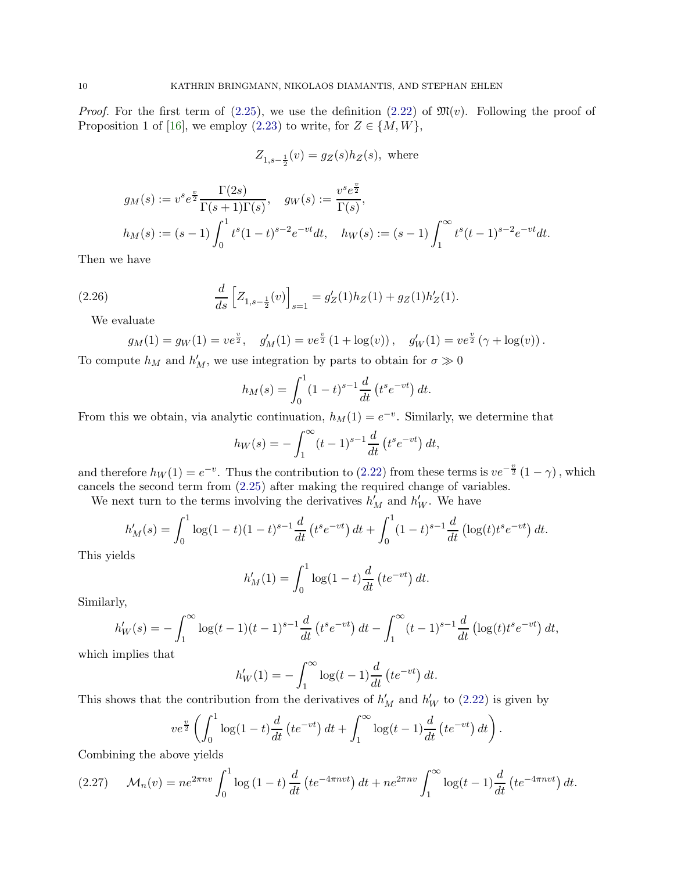*Proof.* For the first term of [\(2.25\)](#page-8-2), we use the definition [\(2.22\)](#page-8-3) of  $\mathfrak{M}(v)$ . Following the proof of Proposition 1 of [\[16](#page-25-3)], we employ [\(2.23\)](#page-8-4) to write, for  $Z \in \{M, W\}$ ,

$$
Z_{1,s-\frac{1}{2}}(v) = g_Z(s)h_Z(s), \text{ where}
$$

$$
g_M(s) := v^s e^{\frac{v}{2}} \frac{\Gamma(2s)}{\Gamma(s+1)\Gamma(s)}, \quad g_W(s) := \frac{v^s e^{\frac{v}{2}}}{\Gamma(s)},
$$
  

$$
h_M(s) := (s-1) \int_0^1 t^s (1-t)^{s-2} e^{-vt} dt, \quad h_W(s) := (s-1) \int_1^\infty t^s (t-1)^{s-2} e^{-vt} dt.
$$

Then we have

(2.26) 
$$
\frac{d}{ds} \left[ Z_{1,s-\frac{1}{2}}(v) \right]_{s=1} = g'_Z(1) h_Z(1) + g_Z(1) h'_Z(1).
$$

We evaluate

$$
g_M(1) = g_W(1) = v e^{\frac{v}{2}}, \quad g'_M(1) = v e^{\frac{v}{2}} (1 + \log(v)), \quad g'_W(1) = v e^{\frac{v}{2}} (\gamma + \log(v)).
$$

To compute  $h_M$  and  $h'_M$ , we use integration by parts to obtain for  $\sigma \gg 0$ 

$$
h_M(s) = \int_0^1 (1-t)^{s-1} \frac{d}{dt} (t^s e^{-vt}) dt.
$$

From this we obtain, via analytic continuation,  $h_M(1) = e^{-v}$ . Similarly, we determine that

$$
h_W(s) = -\int_1^{\infty} (t-1)^{s-1} \frac{d}{dt} (t^s e^{-vt}) dt,
$$

and therefore  $h_W(1) = e^{-v}$ . Thus the contribution to [\(2.22\)](#page-8-3) from these terms is  $ve^{-\frac{v}{2}}(1-\gamma)$ , which cancels the second term from [\(2.25\)](#page-8-2) after making the required change of variables.

We next turn to the terms involving the derivatives  $h'_M$  and  $h'_W$ . We have

$$
h'_M(s) = \int_0^1 \log(1-t)(1-t)^{s-1} \frac{d}{dt} \left(t^s e^{-vt}\right) dt + \int_0^1 (1-t)^{s-1} \frac{d}{dt} \left(\log(t)t^s e^{-vt}\right) dt.
$$

This yields

$$
h'_M(1) = \int_0^1 \log(1-t) \frac{d}{dt} \left( t e^{-vt} \right) dt.
$$

Similarly,

$$
h'_W(s) = -\int_1^\infty \log(t-1)(t-1)^{s-1}\frac{d}{dt}\left(t^s e^{-vt}\right)dt - \int_1^\infty (t-1)^{s-1}\frac{d}{dt}\left(\log(t)t^s e^{-vt}\right)dt,
$$

which implies that

$$
h'_{W}(1) = -\int_{1}^{\infty} \log(t-1) \frac{d}{dt} \left( t e^{-vt} \right) dt.
$$

This shows that the contribution from the derivatives of  $h'_M$  and  $h'_W$  to [\(2.22\)](#page-8-3) is given by

$$
ve^{\frac{v}{2}}\left(\int_0^1 \log(1-t)\frac{d}{dt}\left(te^{-vt}\right)dt + \int_1^\infty \log(t-1)\frac{d}{dt}\left(te^{-vt}\right)dt\right).
$$

Combining the above yields

<span id="page-9-0"></span>
$$
(2.27) \qquad \mathcal{M}_n(v) = n e^{2\pi n v} \int_0^1 \log\left(1 - t\right) \frac{d}{dt} \left( t e^{-4\pi n v t} \right) dt + n e^{2\pi n v} \int_1^\infty \log(t - 1) \frac{d}{dt} \left( t e^{-4\pi n v t} \right) dt.
$$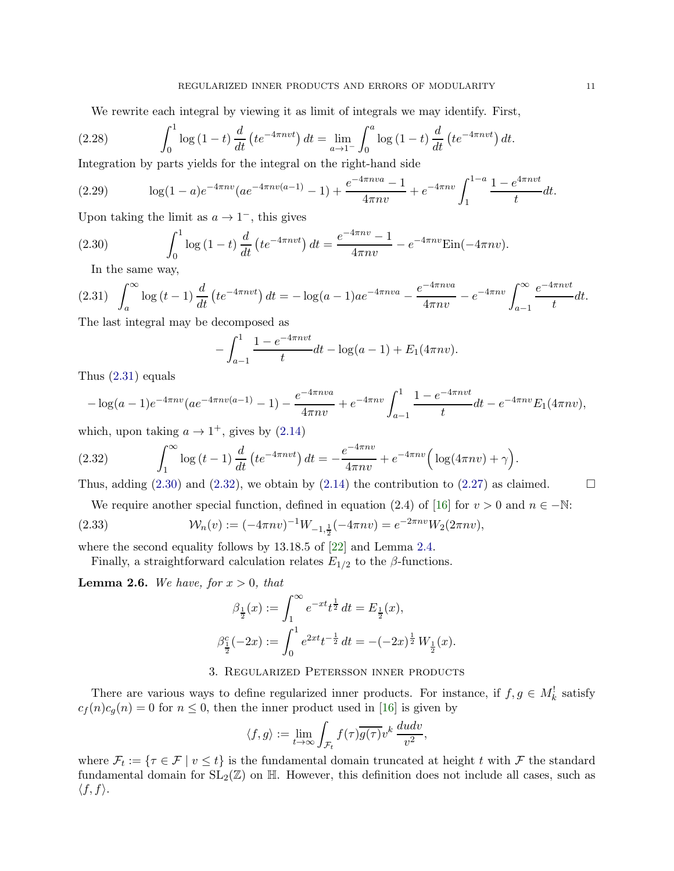We rewrite each integral by viewing it as limit of integrals we may identify. First,

(2.28) 
$$
\int_0^1 \log(1-t) \frac{d}{dt} \left( t e^{-4\pi n v t} \right) dt = \lim_{a \to 1^-} \int_0^a \log(1-t) \frac{d}{dt} \left( t e^{-4\pi n v t} \right) dt.
$$

Integration by parts yields for the integral on the right-hand side

(2.29) 
$$
\log(1-a)e^{-4\pi nv}(ae^{-4\pi nv(a-1)}-1)+\frac{e^{-4\pi nv}-1}{4\pi nv}+e^{-4\pi nv}\int_1^{1-a}\frac{1-e^{4\pi nv}}{t}dt.
$$

Upon taking the limit as  $a \to 1^-$ , this gives

(2.30) 
$$
\int_0^1 \log(1-t) \frac{d}{dt} \left( t e^{-4\pi n v t} \right) dt = \frac{e^{-4\pi n v} - 1}{4\pi n v} - e^{-4\pi n v} \text{Ein}(-4\pi n v).
$$

<span id="page-10-2"></span><span id="page-10-1"></span>In the same way,

$$
(2.31) \quad \int_{a}^{\infty} \log(t-1) \frac{d}{dt} \left( t e^{-4\pi n v t} \right) dt = -\log(a-1) a e^{-4\pi n v a} - \frac{e^{-4\pi n v a}}{4\pi n v} - e^{-4\pi n v} \int_{a-1}^{\infty} \frac{e^{-4\pi n v t}}{t} dt.
$$

The last integral may be decomposed as

$$
-\int_{a-1}^{1} \frac{1-e^{-4\pi nvt}}{t} dt - \log(a-1) + E_1(4\pi nv).
$$

Thus [\(2.31\)](#page-10-1) equals

$$
-\log(a-1)e^{-4\pi nv}(ae^{-4\pi nv(a-1)}-1)-\frac{e^{-4\pi nv}}{4\pi nv}+e^{-4\pi nv}\int_{a-1}^{1}\frac{1-e^{-4\pi nv}}{t}dt-e^{-4\pi nv}E_1(4\pi nv),
$$

which, upon taking  $a \to 1^+$ , gives by  $(2.14)$ 

<span id="page-10-3"></span>(2.32) 
$$
\int_{1}^{\infty} \log(t-1) \frac{d}{dt} \left( t e^{-4\pi n v t} \right) dt = -\frac{e^{-4\pi n v}}{4\pi n v} + e^{-4\pi n v} \left( \log(4\pi n v) + \gamma \right).
$$

Thus, adding  $(2.30)$  and  $(2.32)$ , we obtain by  $(2.14)$  the contribution to  $(2.27)$  as claimed.

$$
\Box
$$

We require another special function, defined in equation (2.4) of [\[16\]](#page-25-3) for  $v > 0$  and  $n \in -\mathbb{N}$ :

(2.33) 
$$
\mathcal{W}_n(v) := (-4\pi nv)^{-1} W_{-1,\frac{1}{2}}(-4\pi nv) = e^{-2\pi nv} W_2(2\pi nv),
$$

where the second equality follows by 13.18.5 of [\[22](#page-26-5)] and Lemma [2.4.](#page-8-0)

Finally, a straightforward calculation relates  $E_{1/2}$  to the  $\beta$ -functions.

<span id="page-10-5"></span>**Lemma 2.6.** We have, for  $x > 0$ , that

<span id="page-10-4"></span>
$$
\beta_{\frac{1}{2}}(x) := \int_{1}^{\infty} e^{-xt} t^{\frac{1}{2}} dt = E_{\frac{1}{2}}(x),
$$
  

$$
\beta_{\frac{1}{2}}^{c}(-2x) := \int_{0}^{1} e^{2xt} t^{-\frac{1}{2}} dt = -(-2x)^{\frac{1}{2}} W_{\frac{1}{2}}(x).
$$

# 3. Regularized Petersson inner products

<span id="page-10-0"></span>There are various ways to define regularized inner products. For instance, if  $f, g \in M_k^!$  satisfy  $c_f(n)c_g(n) = 0$  for  $n \leq 0$ , then the inner product used in [\[16](#page-25-3)] is given by

$$
\langle f, g \rangle := \lim_{t \to \infty} \int_{\mathcal{F}_t} f(\tau) \overline{g(\tau)} v^k \, \frac{du dv}{v^2},
$$

where  $\mathcal{F}_t := \{ \tau \in \mathcal{F} \mid v \leq t \}$  is the fundamental domain truncated at height t with  $\mathcal{F}$  the standard fundamental domain for  $SL_2(\mathbb{Z})$  on  $\mathbb{H}$ . However, this definition does not include all cases, such as  $\langle f, f \rangle$ .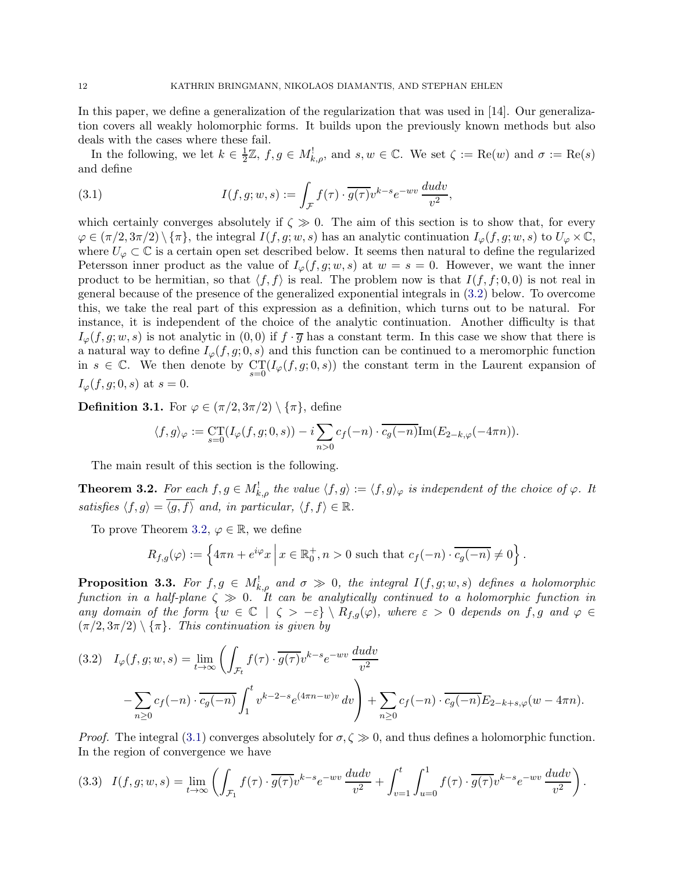In this paper, we define a generalization of the regularization that was used in [14]. Our generalization covers all weakly holomorphic forms. It builds upon the previously known methods but also deals with the cases where these fail.

In the following, we let  $k \in \frac{1}{2}$  $\frac{1}{2}\mathbb{Z}, f, g \in M^!_{k,\rho}$ , and  $s, w \in \mathbb{C}$ . We set  $\zeta := \text{Re}(w)$  and  $\sigma := \text{Re}(s)$ and define

<span id="page-11-2"></span>(3.1) 
$$
I(f,g;w,s) := \int_{\mathcal{F}} f(\tau) \cdot \overline{g(\tau)} v^{k-s} e^{-wv} \frac{du dv}{v^2},
$$

which certainly converges absolutely if  $\zeta \gg 0$ . The aim of this section is to show that, for every  $\varphi \in (\pi/2, 3\pi/2) \setminus {\pi}$ , the integral  $I(f, g; w, s)$  has an analytic continuation  $I_{\varphi}(f, g; w, s)$  to  $U_{\varphi} \times \mathbb{C}$ , where  $U_{\varphi} \subset \mathbb{C}$  is a certain open set described below. It seems then natural to define the regularized Petersson inner product as the value of  $I_{\varphi}(f, g; w, s)$  at  $w = s = 0$ . However, we want the inner product to be hermitian, so that  $\langle f, f \rangle$  is real. The problem now is that  $I(f, f; 0, 0)$  is not real in general because of the presence of the generalized exponential integrals in [\(3.2\)](#page-11-1) below. To overcome this, we take the real part of this expression as a definition, which turns out to be natural. For instance, it is independent of the choice of the analytic continuation. Another difficulty is that  $I_{\varphi}(f,g;w,s)$  is not analytic in  $(0,0)$  if  $f\cdot\overline{g}$  has a constant term. In this case we show that there is a natural way to define  $I_{\varphi}(f,g; 0, s)$  and this function can be continued to a meromorphic function in  $s \in \mathbb{C}$ . We then denote by  $\mathcal{C}\mathcal{T}(I_{\varphi}(f,g;0,s))$  the constant term in the Laurent expansion of  $I_{\varphi}(f, g; 0, s)$  at  $s = 0$ .

<span id="page-11-5"></span>**Definition 3.1.** For  $\varphi \in (\pi/2, 3\pi/2) \setminus {\pi}$ , define

$$
\langle f, g \rangle_{\varphi} := \mathop{\mathrm{CT}}_{s=0} (I_{\varphi}(f, g; 0, s)) - i \sum_{n>0} c_f(-n) \cdot \overline{c_g(-n)} \text{Im}(E_{2-k,\varphi}(-4\pi n)).
$$

The main result of this section is the following.

<span id="page-11-0"></span>**Theorem 3.2.** For each  $f, g \in M^!_{k,\rho}$  the value  $\langle f, g \rangle := \langle f, g \rangle_{\varphi}$  is independent of the choice of  $\varphi$ . It satisfies  $\langle f, g \rangle = \langle g, f \rangle$  and, in particular,  $\langle f, f \rangle \in \mathbb{R}$ .

To prove Theorem [3.2,](#page-11-0)  $\varphi \in \mathbb{R}$ , we define

$$
R_{f,g}(\varphi) := \left\{ 4\pi n + e^{i\varphi} x \middle| x \in \mathbb{R}_0^+, n > 0 \text{ such that } c_f(-n) \cdot \overline{c_g(-n)} \neq 0 \right\}.
$$

<span id="page-11-4"></span>**Proposition 3.3.** For  $f, g \in M_{k,\rho}^!$  and  $\sigma \gg 0$ , the integral  $I(f, g; w, s)$  defines a holomorphic function in a half-plane  $\zeta \gg 0$ . It can be analytically continued to a holomorphic function in any domain of the form  $\{w \in \mathbb{C} \mid \zeta > -\varepsilon\} \setminus R_{f,g}(\varphi)$ , where  $\varepsilon > 0$  depends on  $f, g$  and  $\varphi \in \mathbb{C}$  $(\pi/2, 3\pi/2) \setminus {\pi}$ . This continuation is given by

<span id="page-11-1"></span>
$$
(3.2) \quad I_{\varphi}(f,g;w,s) = \lim_{t \to \infty} \left( \int_{\mathcal{F}_t} f(\tau) \cdot \overline{g(\tau)} v^{k-s} e^{-wv} \frac{du dv}{v^2} \right)
$$

$$
- \sum_{n \ge 0} c_f(-n) \cdot \overline{c_g(-n)} \int_1^t v^{k-2-s} e^{(4\pi n - w)v} dv \right) + \sum_{n \ge 0} c_f(-n) \cdot \overline{c_g(-n)} E_{2-k+s,\varphi}(w - 4\pi n).
$$

*Proof.* The integral [\(3.1\)](#page-11-2) converges absolutely for  $\sigma$ ,  $\zeta \gg 0$ , and thus defines a holomorphic function. In the region of convergence we have

<span id="page-11-3"></span>
$$
(3.3) \quad I(f,g;w,s) = \lim_{t \to \infty} \left( \int_{\mathcal{F}_1} f(\tau) \cdot \overline{g(\tau)} v^{k-s} e^{-wv} \frac{du dv}{v^2} + \int_{v=1}^t \int_{u=0}^1 f(\tau) \cdot \overline{g(\tau)} v^{k-s} e^{-wv} \frac{du dv}{v^2} \right).
$$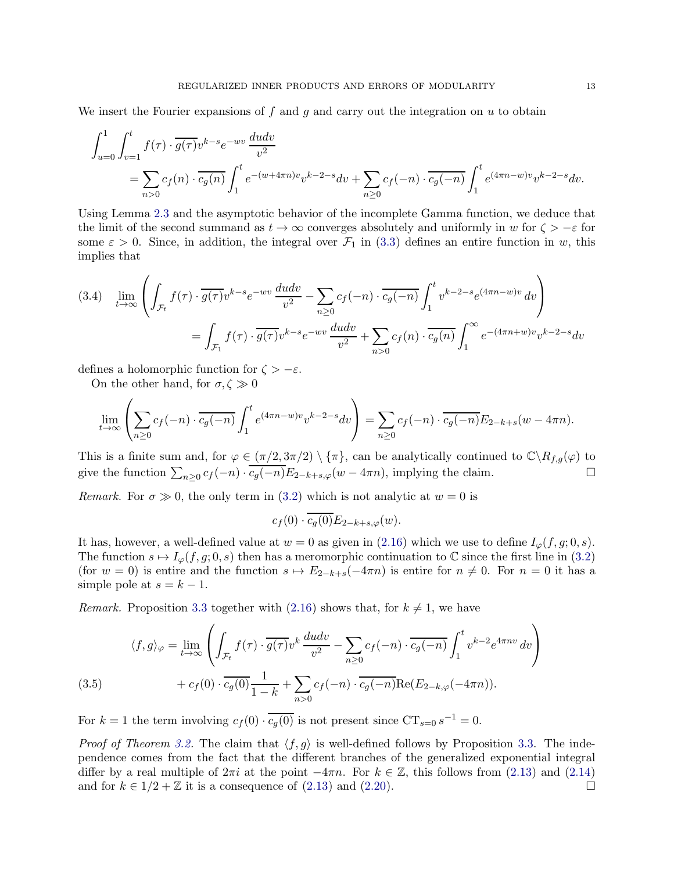We insert the Fourier expansions of f and g and carry out the integration on  $u$  to obtain

$$
\int_{u=0}^{1} \int_{v=1}^{t} f(\tau) \cdot \overline{g(\tau)} v^{k-s} e^{-wv} \frac{du dv}{v^2}
$$
\n
$$
= \sum_{n>0} c_f(n) \cdot \overline{c_g(n)} \int_{1}^{t} e^{-(w+4\pi n)v} v^{k-2-s} dv + \sum_{n\geq 0} c_f(-n) \cdot \overline{c_g(-n)} \int_{1}^{t} e^{(4\pi n - w)v} v^{k-2-s} dv.
$$

Using Lemma [2.3](#page-5-2) and the asymptotic behavior of the incomplete Gamma function, we deduce that the limit of the second summand as  $t \to \infty$  converges absolutely and uniformly in w for  $\zeta > -\varepsilon$  for some  $\varepsilon > 0$ . Since, in addition, the integral over  $\mathcal{F}_1$  in [\(3.3\)](#page-11-3) defines an entire function in w, this implies that

$$
(3.4) \quad \lim_{t \to \infty} \left( \int_{\mathcal{F}_t} f(\tau) \cdot \overline{g(\tau)} v^{k-s} e^{-wv} \frac{du dv}{v^2} - \sum_{n \ge 0} c_f(-n) \cdot \overline{c_g(-n)} \int_1^t v^{k-2-s} e^{(4\pi n - w)v} dv \right)
$$

$$
= \int_{\mathcal{F}_1} f(\tau) \cdot \overline{g(\tau)} v^{k-s} e^{-wv} \frac{du dv}{v^2} + \sum_{n > 0} c_f(n) \cdot \overline{c_g(n)} \int_1^\infty e^{-(4\pi n + w)v} v^{k-2-s} dv
$$

defines a holomorphic function for  $\zeta > -\varepsilon$ .

On the other hand, for  $\sigma,\zeta\gg0$ 

$$
\lim_{t \to \infty} \left( \sum_{n \ge 0} c_f(-n) \cdot \overline{c_g(-n)} \int_1^t e^{(4\pi n - w)v} v^{k-2-s} dv \right) = \sum_{n \ge 0} c_f(-n) \cdot \overline{c_g(-n)} E_{2-k+s}(w - 4\pi n).
$$

This is a finite sum and, for  $\varphi \in (\pi/2, 3\pi/2) \setminus {\pi}$ , can be analytically continued to  $\mathbb{C} \setminus R_{f,g}(\varphi)$  to give the function  $\sum_{n\geq 0} c_f(-n) \cdot \overline{c_g(-n)} E_{2-k+s,\varphi}(w-4\pi n)$ , implying the claim.

Remark. For  $\sigma \gg 0$ , the only term in [\(3.2\)](#page-11-1) which is not analytic at  $w = 0$  is

 $c_f (0) \cdot \overline{c_g (0)} E_{2-k+s,\varphi}(w).$ 

It has, however, a well-defined value at  $w = 0$  as given in [\(2.16\)](#page-7-4) which we use to define  $I_{\varphi}(f, g; 0, s)$ . The function  $s \mapsto I_{\varphi}(f, g; 0, s)$  then has a meromorphic continuation to C since the first line in [\(3.2\)](#page-11-1) (for  $w = 0$ ) is entire and the function  $s \mapsto E_{2-k+s}(-4\pi n)$  is entire for  $n \neq 0$ . For  $n = 0$  it has a simple pole at  $s = k - 1$ .

*Remark.* Proposition [3.3](#page-11-4) together with [\(2.16\)](#page-7-4) shows that, for  $k \neq 1$ , we have

(3.5) 
$$
\langle f, g \rangle_{\varphi} = \lim_{t \to \infty} \left( \int_{\mathcal{F}_t} f(\tau) \cdot \overline{g(\tau)} v^k \frac{du dv}{v^2} - \sum_{n \ge 0} c_f(-n) \cdot \overline{c_g(-n)} \int_1^t v^{k-2} e^{4\pi n v} dv \right) + c_f(0) \cdot \overline{c_g(0)} \frac{1}{1-k} + \sum_{n > 0} c_f(-n) \cdot \overline{c_g(-n)} \text{Re}(E_{2-k,\varphi}(-4\pi n)).
$$

<span id="page-12-0"></span>For  $k = 1$  the term involving  $c_f(0) \cdot \overline{c_g(0)}$  is not present since  $CT_{s=0} s^{-1} = 0$ .

*Proof of Theorem [3.2.](#page-11-0)* The claim that  $\langle f, g \rangle$  is well-defined follows by Proposition [3.3.](#page-11-4) The independence comes from the fact that the different branches of the generalized exponential integral differ by a real multiple of  $2\pi i$  at the point  $-4\pi n$ . For  $k \in \mathbb{Z}$ , this follows from [\(2.13\)](#page-7-3) and [\(2.14\)](#page-7-1) and for  $k \in 1/2 + \mathbb{Z}$  it is a consequence of (2.13) and (2.20). and for  $k \in 1/2 + \mathbb{Z}$  it is a consequence of  $(2.13)$  and  $(2.20)$ .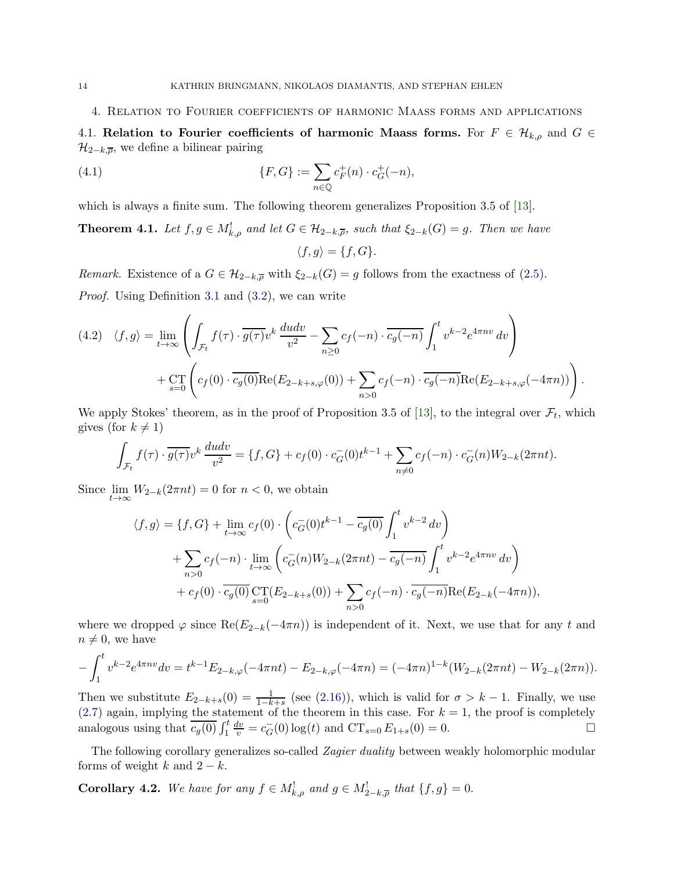<span id="page-13-2"></span><span id="page-13-1"></span>4. Relation to Fourier coefficients of harmonic Maass forms and applications

4.1. Relation to Fourier coefficients of harmonic Maass forms. For  $F \in \mathcal{H}_{k,\rho}$  and  $G \in$  $\mathcal{H}_{2-k,\overline{\rho}}$ , we define a bilinear pairing

(4.1) 
$$
\{F, G\} := \sum_{n \in \mathbb{Q}} c_F^+(n) \cdot c_G^+(-n),
$$

which is always a finite sum. The following theorem generalizes Proposition 3.5 of [\[13](#page-25-4)].

<span id="page-13-0"></span>**Theorem 4.1.** Let  $f, g \in M_{k,\rho}^!$  and let  $G \in \mathcal{H}_{2-k,\overline{\rho}}$ , such that  $\xi_{2-k}(G) = g$ . Then we have  $\langle f, g \rangle = \{f, G\}.$ 

Remark. Existence of a  $G \in \mathcal{H}_{2-k,\overline{\rho}}$  with  $\xi_{2-k}(G) = g$  follows from the exactness of [\(2.5\)](#page-5-3). Proof. Using Definition [3.1](#page-11-5) and [\(3.2\)](#page-11-1), we can write

$$
(4.2) \quad \langle f, g \rangle = \lim_{t \to \infty} \left( \int_{\mathcal{F}_t} f(\tau) \cdot \overline{g(\tau)} v^k \, \frac{du dv}{v^2} - \sum_{n \ge 0} c_f(-n) \cdot \overline{c_g(-n)} \int_1^t v^{k-2} e^{4\pi n v} \, dv \right) + \operatorname{CT}_{s=0} \left( c_f(0) \cdot \overline{c_g(0)} \text{Re}(E_{2-k+s,\varphi}(0)) + \sum_{n > 0} c_f(-n) \cdot \overline{c_g(-n)} \text{Re}(E_{2-k+s,\varphi}(-4\pi n)) \right).
$$

We apply Stokes' theorem, as in the proof of Proposition 3.5 of [\[13](#page-25-4)], to the integral over  $\mathcal{F}_t$ , which gives (for  $k \neq 1$ )

$$
\int_{\mathcal{F}_t} f(\tau) \cdot \overline{g(\tau)} v^k \frac{du dv}{v^2} = \{f, G\} + c_f(0) \cdot c_G^-(0) t^{k-1} + \sum_{n \neq 0} c_f(-n) \cdot c_G^-(n) W_{2-k}(2\pi nt).
$$

Since lim  $\lim_{t\to\infty} W_{2-k}(2\pi nt) = 0$  for  $n < 0$ , we obtain

$$
\langle f, g \rangle = \{f, G\} + \lim_{t \to \infty} c_f(0) \cdot \left( c_G^-(0) t^{k-1} - \overline{c_g(0)} \int_1^t v^{k-2} dv \right)
$$
  
+ 
$$
\sum_{n>0} c_f(-n) \cdot \lim_{t \to \infty} \left( c_G^-(n) W_{2-k}(2\pi nt) - \overline{c_g(-n)} \int_1^t v^{k-2} e^{4\pi nv} dv \right)
$$
  
+ 
$$
c_f(0) \cdot \overline{c_g(0)} \underset{s=0}{\text{CT}}(E_{2-k+s}(0)) + \sum_{n>0} c_f(-n) \cdot \overline{c_g(-n)} \text{Re}(E_{2-k}(-4\pi n)),
$$

where we dropped  $\varphi$  since Re( $E_{2-k}(-4\pi n)$ ) is independent of it. Next, we use that for any t and  $n \neq 0$ , we have

$$
-\int_{1}^{t} v^{k-2} e^{4\pi nv} dv = t^{k-1} E_{2-k,\varphi}(-4\pi nt) - E_{2-k,\varphi}(-4\pi n) = (-4\pi n)^{1-k} (W_{2-k}(2\pi nt) - W_{2-k}(2\pi n)).
$$

Then we substitute  $E_{2-k+s}(0) = \frac{1}{1-k+s}$  (see [\(2.16\)](#page-7-4)), which is valid for  $\sigma > k-1$ . Finally, we use  $(2.7)$  again, implying the statement of the theorem in this case. For  $k = 1$ , the proof is completely analogous using that  $\overline{c_g(0)} \int_1^t$  $\frac{dv}{v} = c_G^-(0) \log(t)$  and  $CT_{s=0} E_{1+s}(0) = 0$ .

The following corollary generalizes so-called *Zagier duality* between weakly holomorphic modular forms of weight k and  $2 - k$ .

**Corollary 4.2.** We have for any  $f \in M_{k,\rho}^!$  and  $g \in M_{2-k,\overline{\rho}}^!$  that  $\{f,g\} = 0$ .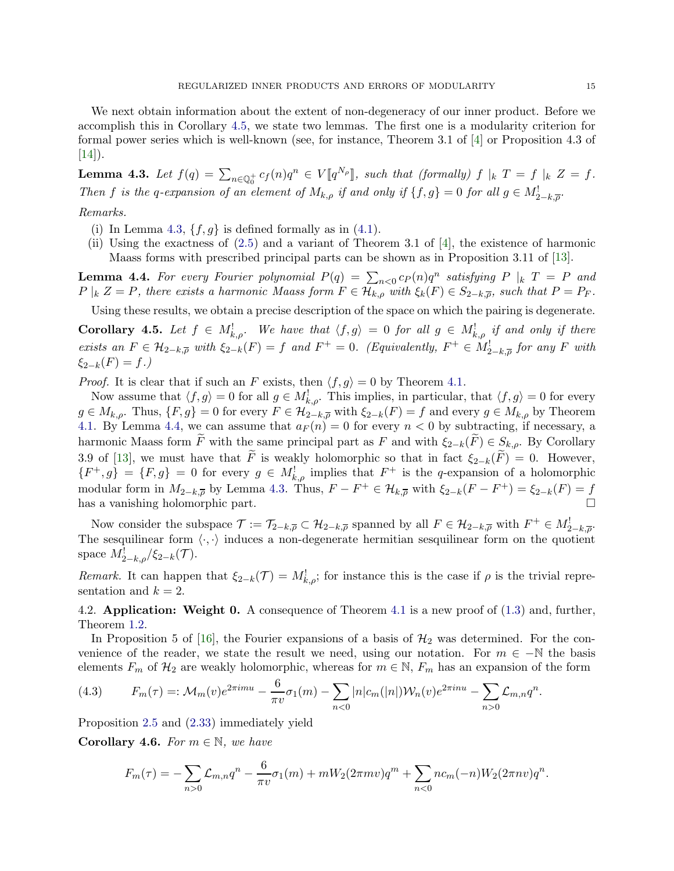We next obtain information about the extent of non-degeneracy of our inner product. Before we accomplish this in Corollary [4.5,](#page-14-0) we state two lemmas. The first one is a modularity criterion for formal power series which is well-known (see, for instance, Theorem 3.1 of [\[4](#page-25-16)] or Proposition 4.3 of  $|14|$ ).

<span id="page-14-1"></span>**Lemma 4.3.** Let  $f(q) = \sum_{n \in \mathbb{Q}_0^+} c_f(n)q^n \in V[[q^{N_\rho}]],$  such that (formally)  $f|_k$   $T = f|_k$   $Z = f$ . Then f is the q-expansion of an element of  $M_{k,\rho}$  if and only if  $\{f,g\}=0$  for all  $g \in M^!_{2-k,\overline{\rho}}$ .

## Remarks.

- (i) In Lemma [4.3,](#page-14-1)  $\{f, g\}$  is defined formally as in [\(4.1\)](#page-13-2).
- (ii) Using the exactness of [\(2.5\)](#page-5-3) and a variant of Theorem 3.1 of [\[4](#page-25-16)], the existence of harmonic Maass forms with prescribed principal parts can be shown as in Proposition 3.11 of [\[13](#page-25-4)].

<span id="page-14-2"></span>**Lemma 4.4.** For every Fourier polynomial  $P(q) = \sum_{n < 0} c_P(n)q^n$  satisfying  $P|_k T = P$  and  $P \mid_k Z = P$ , there exists a harmonic Maass form  $F \in \mathcal{H}_{k,\rho}$  with  $\xi_k(F) \in S_{2-k,\overline{\rho}}$ , such that  $P = P_F$ .

Using these results, we obtain a precise description of the space on which the pairing is degenerate.

<span id="page-14-0"></span>**Corollary 4.5.** Let  $f \in M_{k,\rho}^!$ . We have that  $\langle f,g \rangle = 0$  for all  $g \in M_{k,\rho}^!$  if and only if there exists an  $F \in \mathcal{H}_{2-k,\overline{\rho}}$  with  $\xi_{2-k}(F) = f$  and  $F^+ = 0$ . (Equivalently,  $F^+ \in M^!_{2-k,\overline{\rho}}$  for any F with  $\xi_{2-k}(F) = f.$ )

*Proof.* It is clear that if such an F exists, then  $\langle f, g \rangle = 0$  by Theorem [4.1.](#page-13-0)

Now assume that  $\langle f, g \rangle = 0$  for all  $g \in M^!_{k, \rho}$ . This implies, in particular, that  $\langle f, g \rangle = 0$  for every  $g \in M_{k,\rho}$ . Thus,  $\{F,g\} = 0$  for every  $F \in \mathcal{H}_{2-k,\overline{\rho}}$  with  $\xi_{2-k}(F) = f$  and every  $g \in M_{k,\rho}$  by Theorem [4.1.](#page-13-0) By Lemma [4.4,](#page-14-2) we can assume that  $a_F(n) = 0$  for every  $n < 0$  by subtracting, if necessary, a harmonic Maass form F with the same principal part as F and with  $\xi_{2-k}(F) \in S_{k,o}$ . By Corollary 3.9 of [\[13](#page-25-4)], we must have that  $\tilde{F}$  is weakly holomorphic so that in fact  $\xi_{2-k}(\tilde{F}) = 0$ . However,  ${F^+, g} = {F, g} = 0$  for every  $g \in M^!_{k, \rho}$  implies that  $F^+$  is the q-expansion of a holomorphic modular form in  $M_{2-k,\overline{\rho}}$  by Lemma [4.3.](#page-14-1) Thus,  $F - F^+ \in \mathcal{H}_{k,\overline{\rho}}$  with  $\xi_{2-k}(F - F^+) = \xi_{2-k}(F) = \underline{f}$ has a vanishing holomorphic part.

Now consider the subspace  $\mathcal{T} := \mathcal{T}_{2-k,\overline{\rho}} \subset \mathcal{H}_{2-k,\overline{\rho}}$  spanned by all  $F \in \mathcal{H}_{2-k,\overline{\rho}}$  with  $F^+ \in M^!_{2-k,\overline{\rho}}$ . The sesquilinear form  $\langle \cdot, \cdot \rangle$  induces a non-degenerate hermitian sesquilinear form on the quotient space  $M_{2-k,\rho}^{\dagger}/\xi_{2-k}(\mathcal{T})$ .

Remark. It can happen that  $\xi_{2-k}(\mathcal{T}) = M^!_{k,\rho}$ ; for instance this is the case if  $\rho$  is the trivial representation and  $k = 2$ .

4.2. **Application: Weight 0.** A consequence of Theorem [4.1](#page-13-0) is a new proof of  $(1.3)$  and, further, Theorem [1.2.](#page-1-2)

In Proposition 5 of [\[16\]](#page-25-3), the Fourier expansions of a basis of  $\mathcal{H}_2$  was determined. For the convenience of the reader, we state the result we need, using our notation. For  $m \in -\mathbb{N}$  the basis elements  $F_m$  of  $\mathcal{H}_2$  are weakly holomorphic, whereas for  $m \in \mathbb{N}$ ,  $F_m$  has an expansion of the form

(4.3) 
$$
F_m(\tau) =: \mathcal{M}_m(v)e^{2\pi imu} - \frac{6}{\pi v}\sigma_1(m) - \sum_{n < 0} |n|c_m(|n|) \mathcal{W}_n(v)e^{2\pi inu} - \sum_{n > 0} \mathcal{L}_{m,n} q^n.
$$

Proposition [2.5](#page-8-6) and [\(2.33\)](#page-10-4) immediately yield

Corollary 4.6. For  $m \in \mathbb{N}$ , we have

$$
F_m(\tau) = -\sum_{n>0} \mathcal{L}_{m,n} q^n - \frac{6}{\pi v} \sigma_1(m) + mW_2(2\pi mv)q^m + \sum_{n<0} n c_m(-n)W_2(2\pi nv)q^n.
$$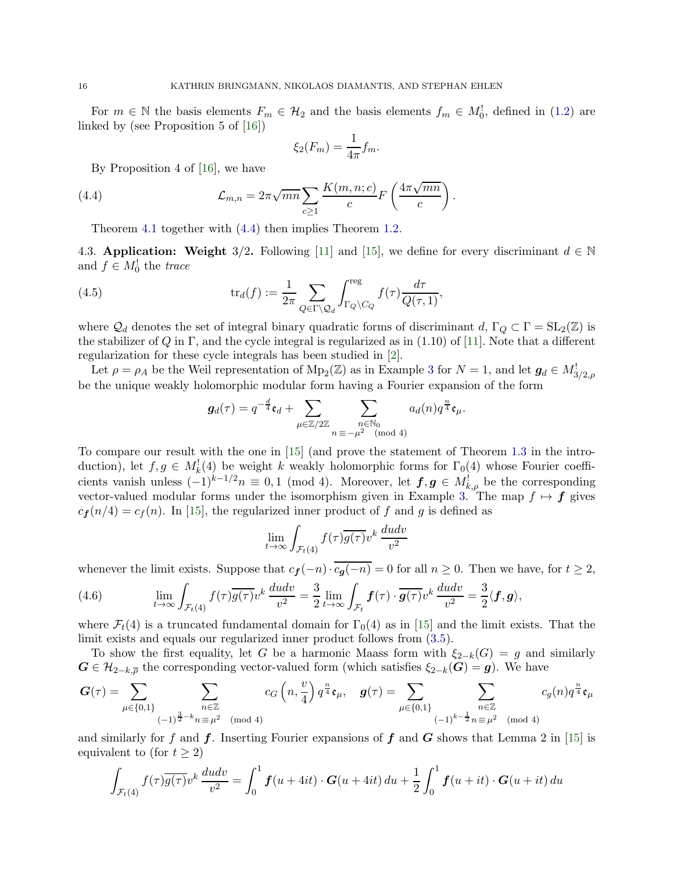For  $m \in \mathbb{N}$  the basis elements  $F_m \in \mathcal{H}_2$  and the basis elements  $f_m \in M_0^!$ , defined in [\(1.2\)](#page-0-0) are linked by (see Proposition 5 of [\[16](#page-25-3)])

<span id="page-15-0"></span>
$$
\xi_2(F_m) = \frac{1}{4\pi} f_m.
$$

.

By Proposition 4 of [\[16](#page-25-3)], we have

(4.4) 
$$
\mathcal{L}_{m,n} = 2\pi \sqrt{mn} \sum_{c \ge 1} \frac{K(m,n;c)}{c} F\left(\frac{4\pi \sqrt{mn}}{c}\right)
$$

Theorem [4.1](#page-13-0) together with [\(4.4\)](#page-15-0) then implies Theorem [1.2.](#page-1-2)

4.3. Application: Weight 3/2. Following [\[11](#page-25-6)] and [\[15\]](#page-25-5), we define for every discriminant  $d \in \mathbb{N}$ and  $f \in M_0^!$  the trace

(4.5) 
$$
\operatorname{tr}_d(f) := \frac{1}{2\pi} \sum_{Q \in \Gamma \backslash Q_d} \int_{\Gamma_Q \backslash C_Q}^{\text{reg}} f(\tau) \frac{d\tau}{Q(\tau, 1)},
$$

where  $\mathcal{Q}_d$  denotes the set of integral binary quadratic forms of discriminant  $d, \Gamma_Q \subset \Gamma = SL_2(\mathbb{Z})$  is the stabilizer of Q in  $\Gamma$ , and the cycle integral is regularized as in (1.10) of [\[11](#page-25-6)]. Note that a different regularization for these cycle integrals has been studied in [\[2](#page-25-18)].

Let  $\rho = \rho_A$  be the Weil representation of  $Mp_2(\mathbb{Z})$  as in Example [3](#page-6-1) for  $N = 1$ , and let  $g_d \in M^!_{3/2,\rho}$ be the unique weakly holomorphic modular form having a Fourier expansion of the form

$$
\boldsymbol{g}_d(\tau) = q^{-\frac{d}{4}} \mathfrak{e}_d + \sum_{\mu \in \mathbb{Z}/2\mathbb{Z}} \sum_{\substack{n \in \mathbb{N}_0 \\ n \equiv -\mu^2 \pmod{4}}} a_d(n) q^{\frac{n}{4}} \mathfrak{e}_\mu.
$$

To compare our result with the one in [\[15](#page-25-5)] (and prove the statement of Theorem [1.3](#page-2-0) in the introduction), let  $f, g \in M_k^1(4)$  be weight k weakly holomorphic forms for  $\Gamma_0(4)$  whose Fourier coefficients vanish unless  $(-1)^{k-1/2}n \equiv 0,1 \pmod{4}$ . Moreover, let  $f,g \in M^!_{k,\rho}$  be the corresponding vector-valued modular forms under the isomorphism given in Example [3.](#page-6-1) The map  $f \mapsto f$  gives  $c_f(n/4) = c_f(n)$ . In [\[15\]](#page-25-5), the regularized inner product of f and g is defined as

$$
\lim_{t \to \infty} \int_{\mathcal{F}_t(4)} f(\tau) \overline{g(\tau)} v^k \, \frac{du dv}{v^2}
$$

whenever the limit exists. Suppose that  $c_f(-n) \cdot \overline{c_q(-n)} = 0$  for all  $n \ge 0$ . Then we have, for  $t \ge 2$ ,

<span id="page-15-1"></span>(4.6) 
$$
\lim_{t \to \infty} \int_{\mathcal{F}_t(4)} f(\tau) \overline{g(\tau)} v^k \, \frac{du dv}{v^2} = \frac{3}{2} \lim_{t \to \infty} \int_{\mathcal{F}_t} f(\tau) \cdot \overline{g(\tau)} v^k \, \frac{du dv}{v^2} = \frac{3}{2} \langle f, g \rangle,
$$

where  $\mathcal{F}_t(4)$  is a truncated fundamental domain for  $\Gamma_0(4)$  as in [\[15](#page-25-5)] and the limit exists. That the limit exists and equals our regularized inner product follows from [\(3.5\)](#page-12-0).

To show the first equality, let G be a harmonic Maass form with  $\xi_{2-k}(G) = g$  and similarly  $G \in \mathcal{H}_{2-k,\overline{\rho}}$  the corresponding vector-valued form (which satisfies  $\xi_{2-k}(G) = g$ ). We have

$$
\boldsymbol{G}(\tau)=\sum_{\mu\in\{0,1\}}\sum_{\substack{n\in\mathbb{Z}\\ (-1)^{\frac{3}{2}-k}n\equiv\mu^2\pmod{4}}}\boldsymbol{c}_G\left(n,\frac{v}{4}\right)\boldsymbol{q}^{\frac{n}{4}}\mathfrak{e}_{\mu},\quad \boldsymbol{g}(\tau)=\sum_{\mu\in\{0,1\}}\sum_{\substack{n\in\mathbb{Z}\\ (-1)^{k-\frac{1}{2}}n\equiv\mu^2\pmod{4}}}\boldsymbol{c}_g(n)\boldsymbol{q}^{\frac{n}{4}}\mathfrak{e}_{\mu}
$$

and similarly for f and f. Inserting Fourier expansions of f and G shows that Lemma 2 in [\[15](#page-25-5)] is equivalent to (for  $t \geq 2$ )

$$
\int_{\mathcal{F}_t(4)} f(\tau) \overline{g(\tau)} v^k \frac{du dv}{v^2} = \int_0^1 \mathbf{f}(u+4it) \cdot \mathbf{G}(u+4it) du + \frac{1}{2} \int_0^1 \mathbf{f}(u+it) \cdot \mathbf{G}(u+it) du
$$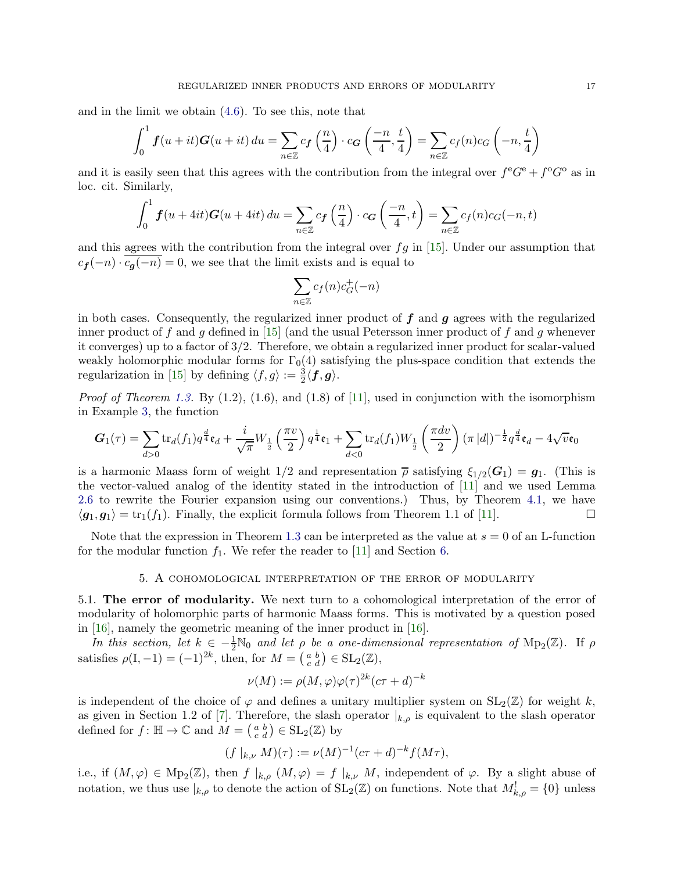and in the limit we obtain [\(4.6\)](#page-15-1). To see this, note that

$$
\int_0^1 f(u+it)G(u+it) du = \sum_{n \in \mathbb{Z}} c_f\left(\frac{n}{4}\right) \cdot c_G\left(\frac{-n}{4}, \frac{t}{4}\right) = \sum_{n \in \mathbb{Z}} c_f(n)c_G\left(-n, \frac{t}{4}\right)
$$

and it is easily seen that this agrees with the contribution from the integral over  $f^{\text{e}}G^{\text{e}} + f^{\text{o}}G^{\text{o}}$  as in loc. cit. Similarly,

$$
\int_0^1 \boldsymbol{f}(u+4it) \boldsymbol{G}(u+4it) du = \sum_{n \in \mathbb{Z}} c_{\boldsymbol{f}}\left(\frac{n}{4}\right) \cdot c_{\boldsymbol{G}}\left(\frac{-n}{4}, t\right) = \sum_{n \in \mathbb{Z}} c_{\boldsymbol{f}}(n) c_{\boldsymbol{G}}(-n, t)
$$

and this agrees with the contribution from the integral over  $fg$  in [\[15](#page-25-5)]. Under our assumption that  $c_f(-n) \cdot \overline{c_g(-n)} = 0$ , we see that the limit exists and is equal to

$$
\sum_{n \in \mathbb{Z}} c_f(n) c_G^+(-n)
$$

in both cases. Consequently, the regularized inner product of  $f$  and  $g$  agrees with the regularized inner product of f and g defined in [\[15](#page-25-5)] (and the usual Petersson inner product of f and g whenever it converges) up to a factor of 3/2. Therefore, we obtain a regularized inner product for scalar-valued weakly holomorphic modular forms for  $\Gamma_0(4)$  satisfying the plus-space condition that extends the regularization in [\[15\]](#page-25-5) by defining  $\langle f, g \rangle := \frac{3}{2} \langle f, g \rangle$ .

*Proof of Theorem [1.3.](#page-2-0)* By  $(1.2)$ ,  $(1.6)$ , and  $(1.8)$  of  $[11]$ , used in conjunction with the isomorphism in Example [3,](#page-6-1) the function

$$
G_1(\tau) = \sum_{d>0} \text{tr}_d(f_1) q^{\frac{d}{4}} \mathfrak{e}_d + \frac{i}{\sqrt{\pi}} W_{\frac{1}{2}} \left( \frac{\pi v}{2} \right) q^{\frac{1}{4}} \mathfrak{e}_1 + \sum_{d<0} \text{tr}_d(f_1) W_{\frac{1}{2}} \left( \frac{\pi dv}{2} \right) (\pi |d|)^{-\frac{1}{2}} q^{\frac{d}{4}} \mathfrak{e}_d - 4\sqrt{v} \mathfrak{e}_0
$$

is a harmonic Maass form of weight  $1/2$  and representation  $\bar{\rho}$  satisfying  $\xi_{1/2}(\bm{G}_1) = \bm{g}_1$ . (This is the vector-valued analog of the identity stated in the introduction of [\[11](#page-25-6)] and we used Lemma [2.6](#page-10-5) to rewrite the Fourier expansion using our conventions.) Thus, by Theorem [4.1,](#page-13-0) we have  $\langle \mathbf{g}_1, \mathbf{g}_1 \rangle = \text{tr}_1(f_1)$ . Finally, the explicit formula follows from Theorem 1.1 of [\[11\]](#page-25-6).

<span id="page-16-0"></span>Note that the expression in Theorem [1.3](#page-2-0) can be interpreted as the value at  $s = 0$  of an L-function for the modular function  $f_1$ . We refer the reader to [\[11\]](#page-25-6) and Section [6.](#page-23-0)

## 5. A cohomological interpretation of the error of modularity

5.1. The error of modularity. We next turn to a cohomological interpretation of the error of modularity of holomorphic parts of harmonic Maass forms. This is motivated by a question posed in [\[16](#page-25-3)], namely the geometric meaning of the inner product in [\[16](#page-25-3)].

In this section, let  $k \in -\frac{1}{2} \mathbb{N}_0$  and let  $\rho$  be a one-dimensional representation of  $\text{Mp}_2(\mathbb{Z})$ . If  $\rho$ satisfies  $\rho(I, -1) = (-1)^{2k}$ , then, for  $M = \begin{pmatrix} a & b \\ c & d \end{pmatrix} \in SL_2(\mathbb{Z}),$ 

$$
\nu(M) := \rho(M,\varphi)\varphi(\tau)^{2k}(c\tau+d)^{-k}
$$

is independent of the choice of  $\varphi$  and defines a unitary multiplier system on  $SL_2(\mathbb{Z})$  for weight k, as given in Section 1.2 of [\[7](#page-25-8)]. Therefore, the slash operator  $|_{k,\rho}$  is equivalent to the slash operator defined for  $f: \mathbb{H} \to \mathbb{C}$  and  $\widetilde{M} = \begin{pmatrix} a & b \\ c & d \end{pmatrix} \in SL_2(\mathbb{Z})$  by

$$
(f |_{k,\nu} M)(\tau) := \nu(M)^{-1} (c\tau + d)^{-k} f(M\tau),
$$

i.e., if  $(M, \varphi) \in Mp_2(\mathbb{Z})$ , then  $f|_{k,\rho}(M, \varphi) = f|_{k,\nu} M$ , independent of  $\varphi$ . By a slight abuse of notation, we thus use  $|_{k,\rho}$  to denote the action of  $SL_2(\mathbb{Z})$  on functions. Note that  $M^!_{k,\rho} = \{0\}$  unless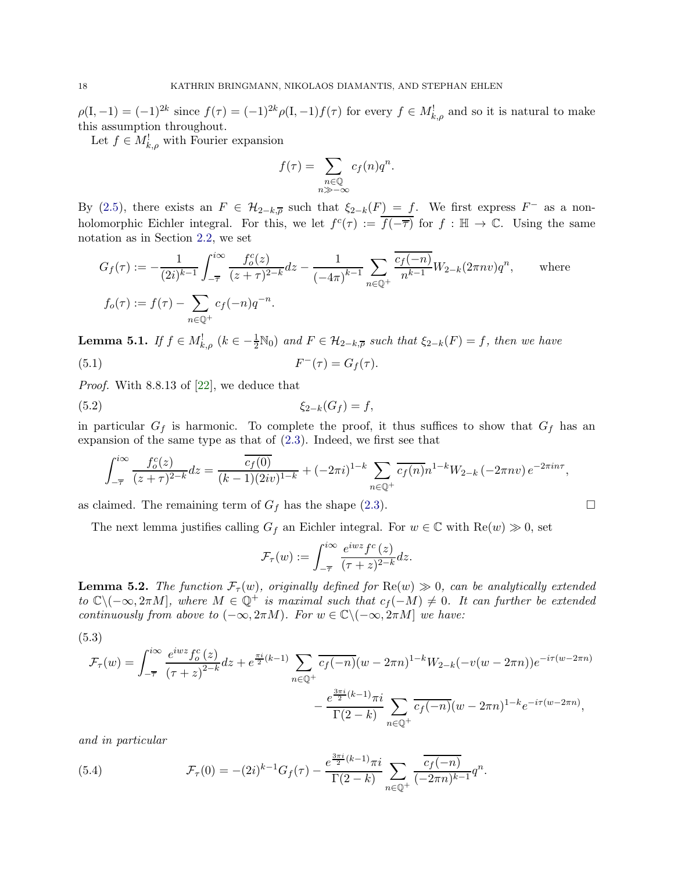$\rho(I, -1) = (-1)^{2k}$  since  $f(\tau) = (-1)^{2k} \rho(I, -1) f(\tau)$  for every  $f \in M^!_{k, \rho}$  and so it is natural to make this assumption throughout.

Let  $f \in M_{k,\rho}^!$  with Fourier expansion

$$
f(\tau) = \sum_{\substack{n \in \mathbb{Q} \\ n \gg -\infty}} c_f(n) q^n.
$$

By [\(2.5\)](#page-5-3), there exists an  $F \in \mathcal{H}_{2-k,\overline{\rho}}$  such that  $\xi_{2-k}(F) = f$ . We first express  $F^-$  as a nonholomorphic Eichler integral. For this, we let  $f^c(\tau) := \overline{f(-\overline{\tau})}$  for  $f : \mathbb{H} \to \mathbb{C}$ . Using the same notation as in Section [2.2,](#page-7-0) we set

$$
G_f(\tau) := -\frac{1}{(2i)^{k-1}} \int_{-\overline{\tau}}^{i\infty} \frac{f_o^c(z)}{(z+\tau)^{2-k}} dz - \frac{1}{(-4\pi)^{k-1}} \sum_{n \in \mathbb{Q}^+} \frac{\overline{c_f(-n)}}{n^{k-1}} W_{2-k} (2\pi n v) q^n, \quad \text{where}
$$
  

$$
f_o(\tau) := f(\tau) - \sum_{n \in \mathbb{Q}^+} c_f(-n) q^{-n}.
$$

<span id="page-17-1"></span>**Lemma 5.1.** If  $f \in M_{k,\rho}^!$  ( $k \in -\frac{1}{2} \mathbb{N}_0$ ) and  $F \in \mathcal{H}_{2-k,\overline{\rho}}$  such that  $\xi_{2-k}(F) = f$ , then we have  $(5.1)$  F  $F^{-}(\tau) = G_{f}(\tau).$ 

Proof. With 8.8.13 of [\[22](#page-26-5)], we deduce that

$$
(5.2) \qquad \qquad \xi_{2-k}(G_f) = f,
$$

in particular  $G_f$  is harmonic. To complete the proof, it thus suffices to show that  $G_f$  has an expansion of the same type as that of  $(2.3)$ . Indeed, we first see that

$$
\int_{-\overline{\tau}}^{i\infty} \frac{f_o^c(z)}{(z+\tau)^{2-k}} dz = \frac{\overline{c_f(0)}}{(k-1)(2iv)^{1-k}} + (-2\pi i)^{1-k} \sum_{n \in \mathbb{Q}^+} \overline{c_f(n)} n^{1-k} W_{2-k} (-2\pi n v) e^{-2\pi i n \tau},
$$

as claimed. The remaining term of  $G_f$  has the shape [\(2.3\)](#page-4-1).

The next lemma justifies calling  $G_f$  an Eichler integral. For  $w \in \mathbb{C}$  with  $\text{Re}(w) \gg 0$ , set

<span id="page-17-2"></span>
$$
\mathcal{F}_{\tau}(w) := \int_{-\overline{\tau}}^{i\infty} \frac{e^{i w z} f^c(z)}{(\tau + z)^{2-k}} dz.
$$

<span id="page-17-3"></span>**Lemma 5.2.** The function  $\mathcal{F}_{\tau}(w)$ , originally defined for  $\text{Re}(w) \gg 0$ , can be analytically extended to  $\mathbb{C}\setminus(-\infty,2\pi M]$ , where  $M \in \mathbb{Q}^+$  is maximal such that  $c_f(-M) \neq 0$ . It can further be extended continuously from above to  $(-\infty, 2\pi M)$ . For  $w \in \mathbb{C} \setminus (-\infty, 2\pi M]$  we have:

<span id="page-17-0"></span>(5.3)

$$
\mathcal{F}_{\tau}(w) = \int_{-\overline{\tau}}^{i\infty} \frac{e^{iwz} f_o^c(z)}{(\tau + z)^{2-k}} dz + e^{\frac{\pi i}{2}(k-1)} \sum_{n \in \mathbb{Q}^+} \frac{\overline{c_f(-n)} (w - 2\pi n)^{1-k} W_{2-k}(-v(w - 2\pi n)) e^{-i\tau(w - 2\pi n)}}{-\frac{e^{\frac{3\pi i}{2}(k-1)}\pi i}{\Gamma(2-k)}} - \frac{e^{\frac{3\pi i}{2}(k-1)}\pi i}{\Gamma(2-k)} \sum_{n \in \mathbb{Q}^+} \frac{\overline{c_f(-n)} (w - 2\pi n)^{1-k} e^{-i\tau(w - 2\pi n)}}{(\tau + 2\pi n)^{1-k}}.
$$

and in particular

(5.4) 
$$
\mathcal{F}_{\tau}(0) = -(2i)^{k-1} G_f(\tau) - \frac{e^{\frac{3\pi i}{2}(k-1)} \pi i}{\Gamma(2-k)} \sum_{n \in \mathbb{Q}^+} \frac{\overline{c_f(-n)}}{(-2\pi n)^{k-1}} q^n.
$$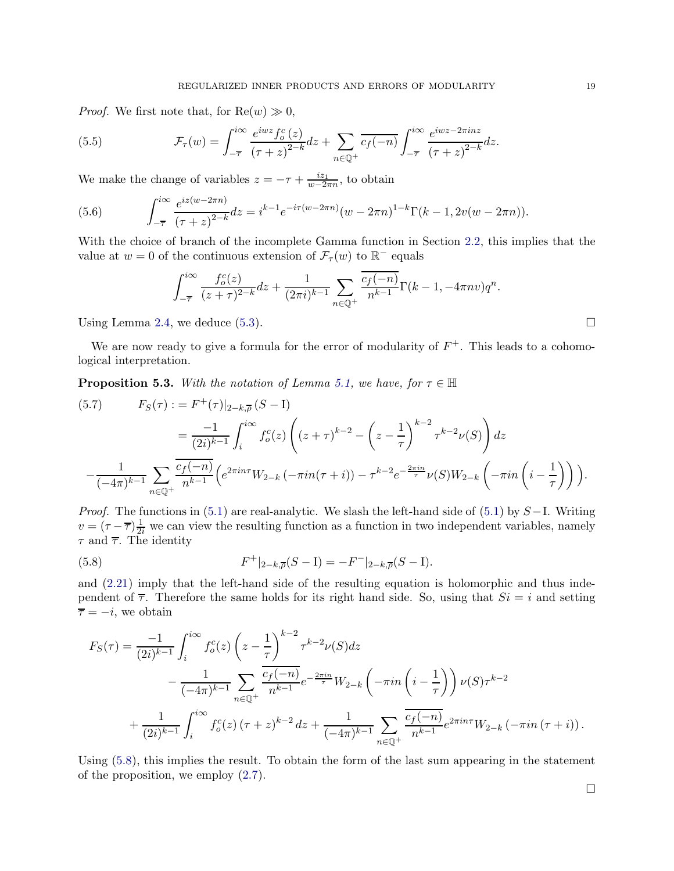*Proof.* We first note that, for  $Re(w) \gg 0$ ,

(5.5) 
$$
\mathcal{F}_{\tau}(w) = \int_{-\overline{\tau}}^{i\infty} \frac{e^{iwz} f_o^c(z)}{(\tau + z)^{2-k}} dz + \sum_{n \in \mathbb{Q}^+} \overline{c_f(-n)} \int_{-\overline{\tau}}^{i\infty} \frac{e^{iwz - 2\pi inz}}{(\tau + z)^{2-k}} dz.
$$

We make the change of variables  $z = -\tau + \frac{iz_1}{w-2i}$  $\frac{i z_1}{w-2\pi n}$ , to obtain

(5.6) 
$$
\int_{-\overline{\tau}}^{i\infty} \frac{e^{iz(w-2\pi n)}}{(\tau+z)^{2-k}} dz = i^{k-1} e^{-i\tau(w-2\pi n)} (w-2\pi n)^{1-k} \Gamma(k-1, 2v(w-2\pi n)).
$$

With the choice of branch of the incomplete Gamma function in Section [2.2,](#page-7-0) this implies that the value at  $w = 0$  of the continuous extension of  $\mathcal{F}_{\tau}(w)$  to  $\mathbb{R}^{-}$  equals

$$
\int_{-\overline{\tau}}^{i\infty} \frac{f_o^c(z)}{(z+\tau)^{2-k}} dz + \frac{1}{(2\pi i)^{k-1}} \sum_{n \in \mathbb{Q}^+} \frac{\overline{c_f(-n)}}{n^{k-1}} \Gamma(k-1, -4\pi n v) q^n.
$$

Using Lemma [2.4,](#page-8-0) we deduce  $(5.3)$ .

We are now ready to give a formula for the error of modularity of  $F^+$ . This leads to a cohomological interpretation.

<span id="page-18-2"></span>**Proposition 5.3.** With the notation of Lemma [5.1,](#page-17-1) we have, for  $\tau \in \mathbb{H}$ 

<span id="page-18-1"></span>
$$
(5.7) \qquad F_S(\tau) := F^+(\tau)|_{2-k,\overline{\rho}}(S-1)
$$
  

$$
= \frac{-1}{(2i)^{k-1}} \int_i^{i\infty} f_o^c(z) \left( (z+\tau)^{k-2} - \left( z - \frac{1}{\tau} \right)^{k-2} \tau^{k-2} \nu(S) \right) dz
$$
  

$$
- \frac{1}{(-4\pi)^{k-1}} \sum_{n \in \mathbb{Q}^+} \frac{\overline{c_f(-n)}}{n^{k-1}} \left( e^{2\pi i n\tau} W_{2-k} \left( -\pi i n(\tau+i) \right) - \tau^{k-2} e^{-\frac{2\pi i n}{\tau}} \nu(S) W_{2-k} \left( -\pi i n \left( i - \frac{1}{\tau} \right) \right) \right).
$$

*Proof.* The functions in  $(5.1)$  are real-analytic. We slash the left-hand side of  $(5.1)$  by  $S-I$ . Writing  $v = (\tau - \overline{\tau})\frac{1}{2i}$  we can view the resulting function as a function in two independent variables, namely  $\tau$  and  $\overline{\tau}$ . The identity

<span id="page-18-0"></span>(5.8) 
$$
F^+|_{2-k, \overline{\rho}}(S-1) = -F^-|_{2-k, \overline{\rho}}(S-1).
$$

and [\(2.21\)](#page-8-7) imply that the left-hand side of the resulting equation is holomorphic and thus independent of  $\overline{\tau}$ . Therefore the same holds for its right hand side. So, using that  $Si = i$  and setting  $\overline{\tau} = -i$ , we obtain

$$
F_S(\tau) = \frac{-1}{(2i)^{k-1}} \int_i^{i\infty} f_o^c(z) \left(z - \frac{1}{\tau}\right)^{k-2} \tau^{k-2} \nu(S) dz - \frac{1}{(-4\pi)^{k-1}} \sum_{n \in \mathbb{Q}^+} \frac{c_f(-n)}{n^{k-1}} e^{-\frac{2\pi in}{\tau}} W_{2-k} \left(-\pi i n \left(i - \frac{1}{\tau}\right)\right) \nu(S) \tau^{k-2} + \frac{1}{(2i)^{k-1}} \int_i^{i\infty} f_o^c(z) \left(\tau + z\right)^{k-2} dz + \frac{1}{(-4\pi)^{k-1}} \sum_{n \in \mathbb{Q}^+} \frac{c_f(-n)}{n^{k-1}} e^{2\pi i n \tau} W_{2-k} \left(-\pi i n \left(\tau + i\right)\right).
$$

Using [\(5.8\)](#page-18-0), this implies the result. To obtain the form of the last sum appearing in the statement of the proposition, we employ [\(2.7\)](#page-5-4).

 $\Box$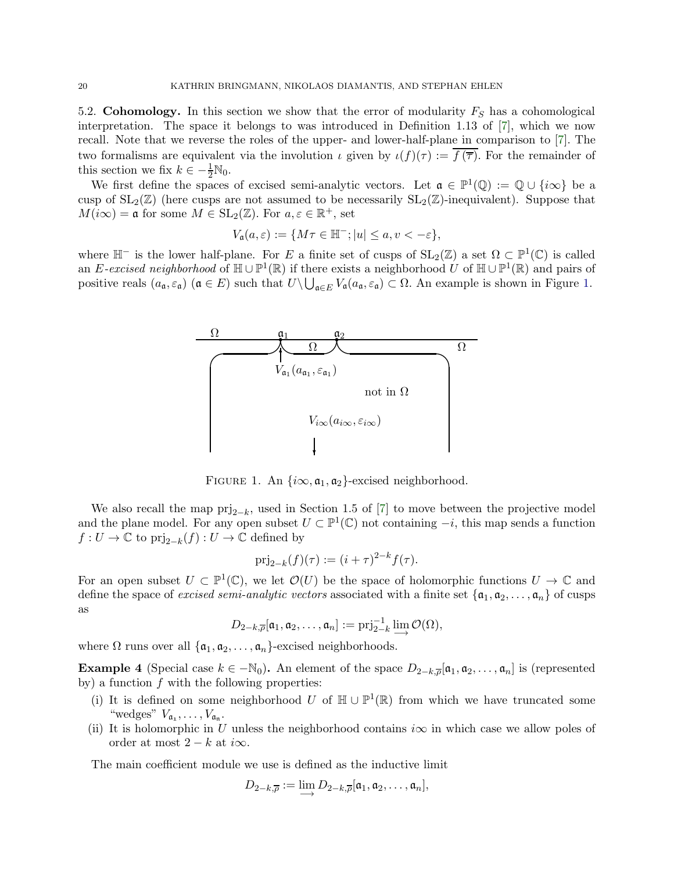5.2. Cohomology. In this section we show that the error of modularity  $F_S$  has a cohomological interpretation. The space it belongs to was introduced in Definition 1.13 of [\[7](#page-25-8)], which we now recall. Note that we reverse the roles of the upper- and lower-half-plane in comparison to [\[7](#page-25-8)]. The two formalisms are equivalent via the involution  $\iota$  given by  $\iota(f)(\tau) := f(\overline{\tau})$ . For the remainder of this section we fix  $k \in -\frac{1}{2}N_0$ .

We first define the spaces of excised semi-analytic vectors. Let  $\mathfrak{a} \in \mathbb{P}^1(\mathbb{Q}) := \mathbb{Q} \cup \{i\infty\}$  be a cusp of  $SL_2(\mathbb{Z})$  (here cusps are not assumed to be necessarily  $SL_2(\mathbb{Z})$ -inequivalent). Suppose that  $M(i\infty) = \mathfrak{a}$  for some  $M \in SL_2(\mathbb{Z})$ . For  $a, \varepsilon \in \mathbb{R}^+$ , set

$$
V_{\mathfrak{a}}(a,\varepsilon) := \{ M\tau \in \mathbb{H}^-; |u| \le a, v < -\varepsilon \},\
$$

where  $\mathbb{H}^-$  is the lower half-plane. For E a finite set of cusps of  $SL_2(\mathbb{Z})$  a set  $\Omega \subset \mathbb{P}^1(\mathbb{C})$  is called an E-excised neighborhood of  $\mathbb{H} \cup \mathbb{P}^1(\mathbb{R})$  if there exists a neighborhood U of  $\mathbb{H} \cup \mathbb{P}^1(\mathbb{R})$  and pairs of positive reals  $(a_{\mathfrak{a}}, \varepsilon_{\mathfrak{a}})$   $(\mathfrak{a} \in E)$  such that  $U \setminus \bigcup_{\mathfrak{a} \in E} V_{\mathfrak{a}}(a_{\mathfrak{a}}, \varepsilon_{\mathfrak{a}}) \subset \Omega$ . An example is shown in Figure [1.](#page-19-0)



<span id="page-19-0"></span>FIGURE 1. An  $\{i\infty, \mathfrak{a}_1, \mathfrak{a}_2\}$ -excised neighborhood.

We also recall the map  $\text{prj}_{2-k}$ , used in Section 1.5 of [\[7](#page-25-8)] to move between the projective model and the plane model. For any open subset  $U \subset \mathbb{P}^1(\mathbb{C})$  not containing  $-i$ , this map sends a function  $f: U \to \mathbb{C}$  to  $\text{prj}_{2-k}(f): U \to \mathbb{C}$  defined by

$$
\text{prj}_{2-k}(f)(\tau) := (i+\tau)^{2-k} f(\tau).
$$

For an open subset  $U \subset \mathbb{P}^1(\mathbb{C})$ , we let  $\mathcal{O}(U)$  be the space of holomorphic functions  $U \to \mathbb{C}$  and define the space of excised semi-analytic vectors associated with a finite set  $\{a_1, a_2, \ldots, a_n\}$  of cusps as

$$
D_{2-k,\overline{\rho}}[\mathfrak{a}_1,\mathfrak{a}_2,\ldots,\mathfrak{a}_n] := \text{prj}_{2-k}^{-1} \varinjlim \mathcal{O}(\Omega),
$$

where  $\Omega$  runs over all  $\{\mathfrak{a}_1, \mathfrak{a}_2, \ldots, \mathfrak{a}_n\}$ -excised neighborhoods.

**Example 4** (Special case  $k \in -\mathbb{N}_0$ ). An element of the space  $D_{2-k,\overline{\rho}}[\mathfrak{a}_1, \mathfrak{a}_2, \ldots, \mathfrak{a}_n]$  is (represented by) a function  $f$  with the following properties:

- (i) It is defined on some neighborhood U of  $\mathbb{H} \cup \mathbb{P}^1(\mathbb{R})$  from which we have truncated some "wedges"  $V_{\mathfrak{a}_1}, \ldots, V_{\mathfrak{a}_n}$ .
- (ii) It is holomorphic in U unless the neighborhood contains  $i\infty$  in which case we allow poles of order at most  $2 - k$  at i $\infty$ .

The main coefficient module we use is defined as the inductive limit

$$
D_{2-k,\overline{\rho}} := \lim_{\longrightarrow} D_{2-k,\overline{\rho}}[\mathfrak{a}_1, \mathfrak{a}_2, \dots, \mathfrak{a}_n],
$$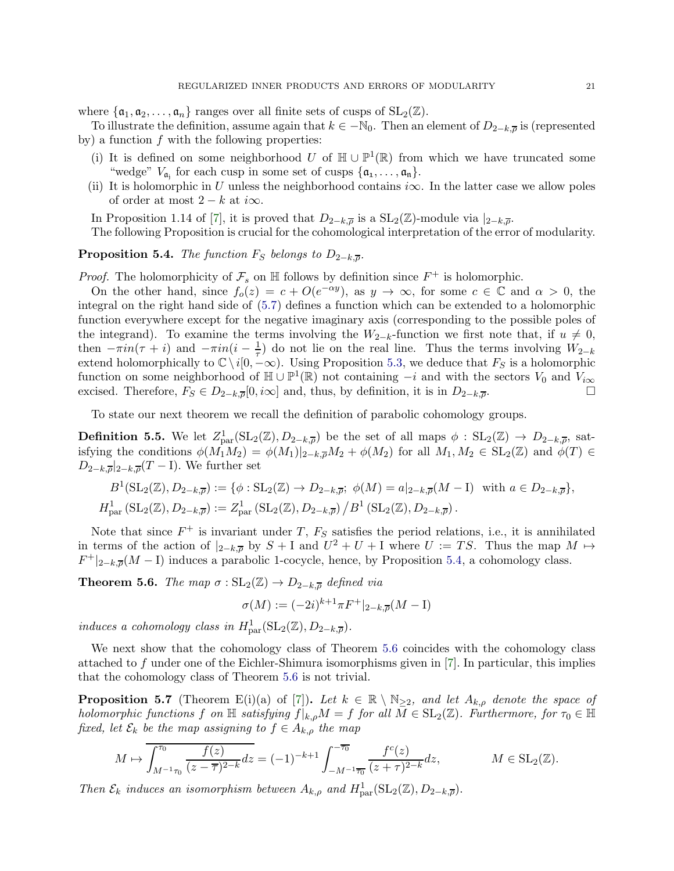where  $\{\mathfrak{a}_1, \mathfrak{a}_2, \ldots, \mathfrak{a}_n\}$  ranges over all finite sets of cusps of  $SL_2(\mathbb{Z})$ .

To illustrate the definition, assume again that  $k \in -\mathbb{N}_0$ . Then an element of  $D_{2-k,\overline{\rho}}$  is (represented by) a function  $f$  with the following properties:

- (i) It is defined on some neighborhood  $U$  of  $\mathbb{H} \cup \mathbb{P}^1(\mathbb{R})$  from which we have truncated some "wedge"  $V_{\mathfrak{a}_j}$  for each cusp in some set of cusps  $\{\mathfrak{a}_1, \ldots, \mathfrak{a}_n\}$ .
- (ii) It is holomorphic in U unless the neighborhood contains  $i\infty$ . In the latter case we allow poles of order at most  $2 - k$  at i $\infty$ .

In Proposition 1.14 of [\[7](#page-25-8)], it is proved that  $D_{2-k,\overline{\rho}}$  is a  $SL_2(\mathbb{Z})$ -module via  $|_{2-k,\overline{\rho}}$ .

The following Proposition is crucial for the cohomological interpretation of the error of modularity.

<span id="page-20-0"></span>**Proposition 5.4.** The function  $F_S$  belongs to  $D_{2-k,\overline{p}}$ .

*Proof.* The holomorphicity of  $\mathcal{F}_s$  on  $\mathbb H$  follows by definition since  $F^+$  is holomorphic.

On the other hand, since  $f_o(z) = c + O(e^{-\alpha y})$ , as  $y \to \infty$ , for some  $c \in \mathbb{C}$  and  $\alpha > 0$ , the integral on the right hand side of [\(5.7\)](#page-18-1) defines a function which can be extended to a holomorphic function everywhere except for the negative imaginary axis (corresponding to the possible poles of the integrand). To examine the terms involving the  $W_{2-k}$ -function we first note that, if  $u \neq 0$ , then  $-\pi i n(\tau + i)$  and  $-\pi i n(i - \frac{1}{\tau})$  do not lie on the real line. Thus the terms involving  $W_{2-k}$ extend holomorphically to  $\mathbb{C} \setminus i[0, -\infty)$ . Using Proposition [5.3,](#page-18-2) we deduce that  $F_S$  is a holomorphic function on some neighborhood of  $\mathbb{H} \cup \mathbb{P}^1(\mathbb{R})$  not containing  $-i$  and with the sectors  $V_0$  and  $V_{i\infty}$ excised. Therefore,  $F_S \in D_{2-k,\overline{\rho}}[0,i\infty]$  and, thus, by definition, it is in  $D_{2-k,\overline{\rho}}$ .

To state our next theorem we recall the definition of parabolic cohomology groups.

**Definition 5.5.** We let  $Z_{\text{par}}^1(\text{SL}_2(\mathbb{Z}), D_{2-k,\overline{\rho}})$  be the set of all maps  $\phi : \text{SL}_2(\mathbb{Z}) \to D_{2-k,\overline{\rho}}$ , satisfying the conditions  $\phi(M_1M_2) = \phi(M_1)|_{2-k,\overline{\rho}}M_2 + \phi(M_2)$  for all  $M_1, M_2 \in SL_2(\mathbb{Z})$  and  $\phi(T) \in$  $D_{2-k,\overline{\rho}}|_{2-k,\overline{\rho}}(T-{\rm I}).$  We further set

$$
B^1(\mathrm{SL}_2(\mathbb{Z}), D_{2-k,\overline{\rho}}) := \{ \phi : \mathrm{SL}_2(\mathbb{Z}) \to D_{2-k,\overline{\rho}}; \ \phi(M) = a|_{2-k,\overline{\rho}} (M-1) \ \text{ with } a \in D_{2-k,\overline{\rho}} \},
$$
  

$$
H^1_{\text{par}}(\mathrm{SL}_2(\mathbb{Z}), D_{2-k,\overline{\rho}}) := Z^1_{\text{par}}(\mathrm{SL}_2(\mathbb{Z}), D_{2-k,\overline{\rho}}) / B^1(\mathrm{SL}_2(\mathbb{Z}), D_{2-k,\overline{\rho}}).
$$

Note that since  $F^+$  is invariant under T,  $F_S$  satisfies the period relations, i.e., it is annihilated in terms of the action of  $|_{2-k,\overline{\rho}}$  by  $S + I$  and  $U^2 + U + I$  where  $U := TS$ . Thus the map  $M \mapsto$  $F^+|_{2-k,\overline{\rho}}(M-1)$  induces a parabolic 1-cocycle, hence, by Proposition [5.4,](#page-20-0) a cohomology class.

<span id="page-20-1"></span>**Theorem 5.6.** The map  $\sigma : SL_2(\mathbb{Z}) \to D_{2-k,\overline{\rho}}$  defined via

$$
\sigma(M) := (-2i)^{k+1} \pi F^+|_{2-k, \overline{\rho}} (M - I)
$$

induces a cohomology class in  $H_{\text{par}}^1(\text{SL}_2(\mathbb{Z}), D_{2-k,\overline{\rho}})$ .

We next show that the cohomology class of Theorem [5.6](#page-20-1) coincides with the cohomology class attached to f under one of the Eichler-Shimura isomorphisms given in [\[7](#page-25-8)]. In particular, this implies that the cohomology class of Theorem [5.6](#page-20-1) is not trivial.

<span id="page-20-2"></span>**Proposition 5.7** (Theorem E(i)(a) of [\[7](#page-25-8)]). Let  $k \in \mathbb{R} \setminus \mathbb{N}_{\geq 2}$ , and let  $A_{k,\rho}$  denote the space of holomorphic functions f on  $\mathbb H$  satisfying  $f|_{k,\rho}M = f$  for all  $M \in SL_2(\mathbb Z)$ . Furthermore, for  $\tau_0 \in \mathbb H$ fixed, let  $\mathcal{E}_k$  be the map assigning to  $f \in A_{k,\rho}$  the map

$$
M \mapsto \overline{\int_{M^{-1}\tau_0}^{\tau_0} \frac{f(z)}{(z-\overline{\tau})^{2-k}} dz} = (-1)^{-k+1} \int_{-M^{-1}\overline{\tau_0}}^{-\overline{\tau_0}} \frac{f^c(z)}{(z+\tau)^{2-k}} dz, \qquad M \in SL_2(\mathbb{Z}).
$$

Then  $\mathcal{E}_k$  induces an isomorphism between  $A_{k,\rho}$  and  $H_{\mathrm{par}}^1(\mathrm{SL}_2(\mathbb{Z}), D_{2-k,\overline{\rho}})$ .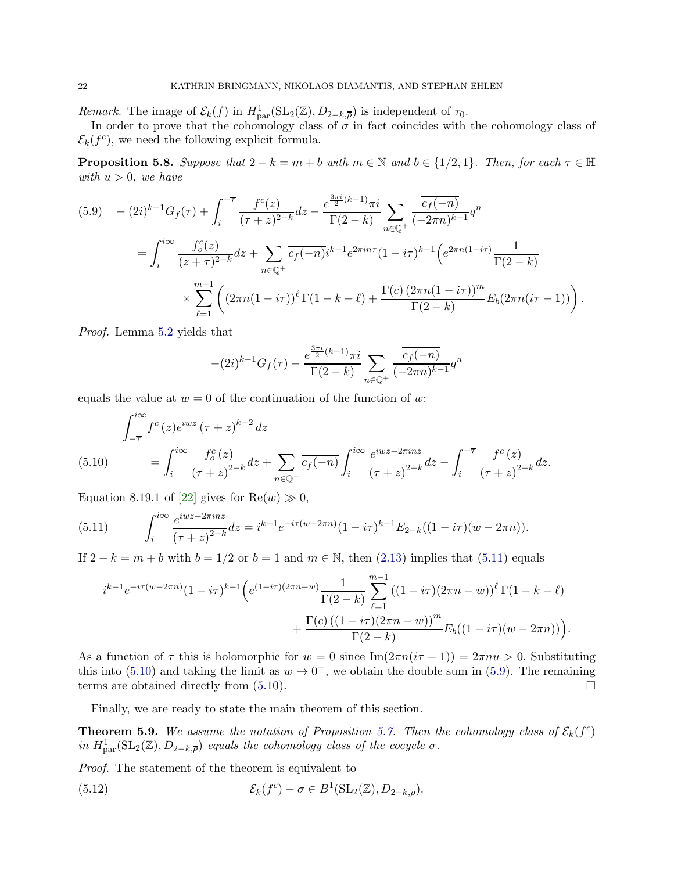Remark. The image of  $\mathcal{E}_k(f)$  in  $H^1_{\text{par}}(\text{SL}_2(\mathbb{Z}), D_{2-k,\overline{\rho}})$  is independent of  $\tau_0$ .

In order to prove that the cohomology class of  $\sigma$  in fact coincides with the cohomology class of  $\mathcal{E}_k(f^c)$ , we need the following explicit formula.

<span id="page-21-4"></span>**Proposition 5.8.** Suppose that  $2 - k = m + b$  with  $m \in \mathbb{N}$  and  $b \in \{1/2, 1\}$ . Then, for each  $\tau \in \mathbb{H}$ with  $u > 0$ , we have

<span id="page-21-2"></span>
$$
(5.9) \quad - (2i)^{k-1} G_f(\tau) + \int_i^{-\overline{\tau}} \frac{f^c(z)}{(\tau+z)^{2-k}} dz - \frac{e^{\frac{3\pi i}{2}(k-1)} \pi i}{\Gamma(2-k)} \sum_{n \in \mathbb{Q}^+} \frac{\overline{c_f(-n)}}{(-2\pi n)^{k-1}} q^n
$$
\n
$$
= \int_i^{i\infty} \frac{f_o^c(z)}{(z+\tau)^{2-k}} dz + \sum_{n \in \mathbb{Q}^+} \overline{c_f(-n)} i^{k-1} e^{2\pi i n \tau} (1 - i\tau)^{k-1} \Big( e^{2\pi n (1-i\tau)} \frac{1}{\Gamma(2-k)} \Big) \times \sum_{\ell=1}^{m-1} \Big( (2\pi n (1-i\tau))^{\ell} \Gamma(1-k-\ell) + \frac{\Gamma(c) (2\pi n (1-i\tau))^m}{\Gamma(2-k)} E_b (2\pi n (i\tau - 1)) \Big) \, .
$$

Proof. Lemma [5.2](#page-17-3) yields that

$$
-(2i)^{k-1}G_f(\tau) - \frac{e^{\frac{3\pi i}{2}(k-1)}\pi i}{\Gamma(2-k)} \sum_{n\in\mathbb{Q}^+} \frac{\overline{c_f(-n)}}{(-2\pi n)^{k-1}} q^n
$$

equals the value at  $w = 0$  of the continuation of the function of w:

<span id="page-21-1"></span>
$$
\int_{-\overline{\tau}}^{i\infty} f^c(z) e^{iwz} (\tau + z)^{k-2} dz
$$
\n(5.10) 
$$
= \int_{i}^{i\infty} \frac{f_o^c(z)}{(\tau + z)^{2-k}} dz + \sum_{n \in \mathbb{Q}^+} \frac{e^{iwz - 2\pi inz}}{(\tau + z)^{2-k}} dz - \int_{i}^{-\overline{\tau}} \frac{f^c(z)}{(\tau + z)^{2-k}} dz.
$$

Equation 8.19.1 of [\[22\]](#page-26-5) gives for  $\text{Re}(w) \gg 0$ ,

<span id="page-21-0"></span>(5.11) 
$$
\int_{i}^{i\infty} \frac{e^{iwz - 2\pi inz}}{(\tau + z)^{2-k}} dz = i^{k-1} e^{-i\tau(w - 2\pi n)} (1 - i\tau)^{k-1} E_{2-k} ((1 - i\tau)(w - 2\pi n)).
$$

If  $2 - k = m + b$  with  $b = 1/2$  or  $b = 1$  and  $m \in \mathbb{N}$ , then [\(2.13\)](#page-7-3) implies that [\(5.11\)](#page-21-0) equals

$$
i^{k-1}e^{-i\tau(w-2\pi n)}(1-i\tau)^{k-1}\Big(e^{(1-i\tau)(2\pi n-w)}\frac{1}{\Gamma(2-k)}\sum_{\ell=1}^{m-1}((1-i\tau)(2\pi n-w))^{\ell}\Gamma(1-k-\ell) + \frac{\Gamma(c)\left((1-i\tau)(2\pi n-w)\right)^m}{\Gamma(2-k)}E_b((1-i\tau)(w-2\pi n))\Big).
$$

As a function of  $\tau$  this is holomorphic for  $w = 0$  since Im $(2\pi n(i\tau - 1)) = 2\pi n u > 0$ . Substituting this into [\(5.10\)](#page-21-1) and taking the limit as  $w \to 0^+$ , we obtain the double sum in [\(5.9\)](#page-21-2). The remaining terms are obtained directly from  $(5.10)$ .

Finally, we are ready to state the main theorem of this section.

<span id="page-21-5"></span>**Theorem 5.9.** We assume the notation of Proposition [5.7.](#page-20-2) Then the cohomology class of  $\mathcal{E}_k(f^c)$ in  $H_{\text{par}}^1(\text{SL}_2(\mathbb{Z}), D_{2-k, \overline{\rho}})$  equals the cohomology class of the cocycle  $\sigma$ .

Proof. The statement of the theorem is equivalent to

<span id="page-21-3"></span>(5.12) 
$$
\mathcal{E}_k(f^c) - \sigma \in B^1(\mathrm{SL}_2(\mathbb{Z}), D_{2-k, \overline{\rho}}).
$$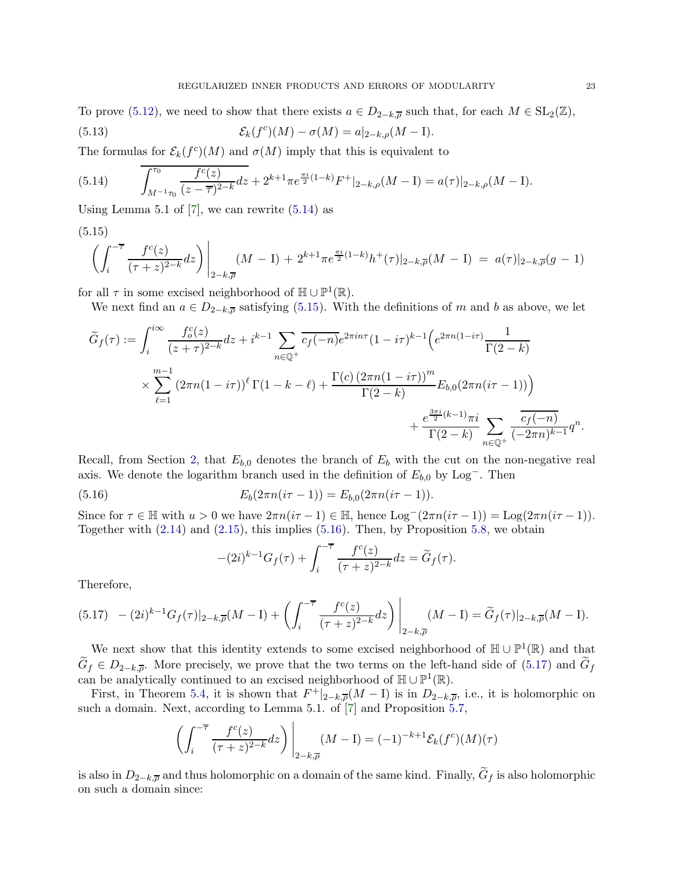To prove [\(5.12\)](#page-21-3), we need to show that there exists  $a \in D_{2-k,\overline{a}}$  such that, for each  $M \in SL_2(\mathbb{Z})$ ,  $(5.13)$ <sup>c</sup> $)(M) - \sigma(M) = a|_{2-k,\rho}(M - I).$ 

The formulas for  $\mathcal{E}_k(f^c)(M)$  and  $\sigma(M)$  imply that this is equivalent to

<span id="page-22-0"></span>(5.14) 
$$
\int_{M^{-1}\tau_0}^{\tau_0} \frac{f^c(z)}{(z-\overline{\tau})^{2-k}} dz + 2^{k+1} \pi e^{\frac{\pi i}{2}(1-k)} F^+|_{2-k,\rho}(M-I) = a(\tau)|_{2-k,\rho}(M-I).
$$

Using Lemma 5.1 of  $[7]$ , we can rewrite  $(5.14)$  as

<span id="page-22-1"></span>
$$
(5.15)
$$

$$
\left(\int_{i}^{-\overline{\tau}} \frac{f^c(z)}{(\tau+z)^{2-k}} dz\right) \Big|_{2-k,\overline{\rho}} (M-I) + 2^{k+1} \pi e^{\frac{\pi i}{2}(1-k)} h^+(\tau) |_{2-k,\overline{\rho}} (M-I) = a(\tau) |_{2-k,\overline{\rho}} (g-1)
$$

for all  $\tau$  in some excised neighborhood of  $\mathbb{H} \cup \mathbb{P}^1(\mathbb{R})$ .

We next find an  $a \in D_{2-k,\overline{\rho}}$  satisfying [\(5.15\)](#page-22-1). With the definitions of m and b as above, we let

$$
\widetilde{G}_f(\tau) := \int_i^{i\infty} \frac{f_o^c(z)}{(z+\tau)^{2-k}} dz + i^{k-1} \sum_{n \in \mathbb{Q}^+} \overline{c_f(-n)} e^{2\pi i n \tau} (1 - i\tau)^{k-1} \Big( e^{2\pi n (1-i\tau)} \frac{1}{\Gamma(2-k)} \times \sum_{\ell=1}^{m-1} (2\pi n (1 - i\tau))^{\ell} \Gamma(1 - k - \ell) + \frac{\Gamma(c) (2\pi n (1 - i\tau))^m}{\Gamma(2-k)} E_{b,0}(2\pi n (i\tau - 1)) \Big) \n+ \frac{e^{\frac{3\pi i}{2}(k-1)} \pi i}{\Gamma(2-k)} \sum_{n \in \mathbb{Q}^+} \frac{\overline{c_f(-n)}}{(-2\pi n)^{k-1}} q^n.
$$

Recall, from Section [2,](#page-3-0) that  $E_{b,0}$  denotes the branch of  $E_b$  with the cut on the non-negative real axis. We denote the logarithm branch used in the definition of  $E_{b,0}$  by Log<sup>-</sup>. Then

(5.16) 
$$
E_b(2\pi n(i\tau - 1)) = E_{b,0}(2\pi n(i\tau - 1)).
$$

Since for  $\tau \in \mathbb{H}$  with  $u > 0$  we have  $2\pi n(i\tau - 1) \in \mathbb{H}$ , hence  $\text{Log}^{-}(2\pi n(i\tau - 1)) = \text{Log}(2\pi n(i\tau - 1))$ . Together with  $(2.14)$  and  $(2.15)$ , this implies  $(5.16)$ . Then, by Proposition [5.8,](#page-21-4) we obtain

<span id="page-22-2"></span>
$$
-(2i)^{k-1}G_f(\tau) + \int_i^{-\overline{\tau}} \frac{f^c(z)}{(\tau+z)^{2-k}} dz = \widetilde{G}_f(\tau).
$$

Therefore,

<span id="page-22-3"></span>
$$
(5.17) \quad - (2i)^{k-1} G_f(\tau)|_{2-k, \overline{\rho}} (M-1) + \left( \int_i^{-\overline{\tau}} \frac{f^c(z)}{(\tau+z)^{2-k}} dz \right) \Big|_{2-k, \overline{\rho}} (M-1) = \widetilde{G}_f(\tau)|_{2-k, \overline{\rho}} (M-1).
$$

We next show that this identity extends to some excised neighborhood of  $\mathbb{H} \cup \mathbb{P}^1(\mathbb{R})$  and that  $G_f \in D_{2-k,\overline{\rho}}$ . More precisely, we prove that the two terms on the left-hand side of [\(5.17\)](#page-22-3) and  $G_f$ can be analytically continued to an excised neighborhood of  $\mathbb{H} \cup \mathbb{P}^1(\mathbb{R})$ .

First, in Theorem [5.4,](#page-20-0) it is shown that  $F^+|_{2-k,\overline{\rho}}(M-I)$  is in  $D_{2-k,\overline{\rho}}$ , i.e., it is holomorphic on such a domain. Next, according to Lemma 5.1. of [\[7](#page-25-8)] and Proposition [5.7,](#page-20-2)

$$
\left(\int_{i}^{-\overline{\tau}} \frac{f^c(z)}{(\tau+z)^{2-k}} dz\right)\bigg|_{z=k,\overline{\rho}} (M-\mathrm{I}) = (-1)^{-k+1} \mathcal{E}_k(f^c)(M)(\tau)
$$

is also in  $D_{2-k,\overline{\rho}}$  and thus holomorphic on a domain of the same kind. Finally,  $G_f$  is also holomorphic on such a domain since: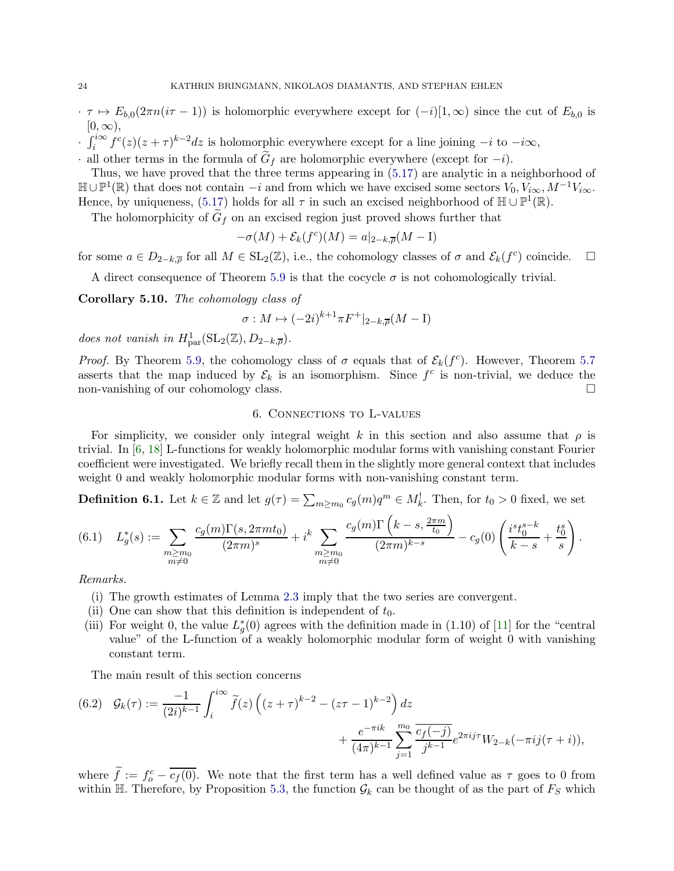- $\cdot \tau \mapsto E_{b,0}(2\pi n(i\tau 1))$  is holomorphic everywhere except for  $(-i)[1,\infty)$  since the cut of  $E_{b,0}$  is  $[0,\infty),$
- $\int_i^{i\infty} f^c(z)(z+\tau)^{k-2}dz$  is holomorphic everywhere except for a line joining  $-i$  to  $-i\infty$ ,
- · all other terms in the formula of  $G_f$  are holomorphic everywhere (except for  $-i$ ).

Thus, we have proved that the three terms appearing in [\(5.17\)](#page-22-3) are analytic in a neighborhood of  $\mathbb{H} \cup \mathbb{P}^1(\mathbb{R})$  that does not contain  $-i$  and from which we have excised some sectors  $V_0, V_{i\infty}, M^{-1}V_{i\infty}$ . Hence, by uniqueness,  $(5.17)$  holds for all  $\tau$  in such an excised neighborhood of  $\mathbb{H} \cup \mathbb{P}^1(\mathbb{R})$ .

The holomorphicity of  $G_f$  on an excised region just proved shows further that

$$
-\sigma(M) + \mathcal{E}_k(f^c)(M) = a|_{2-k, \overline{\rho}}(M - I)
$$

for some  $a \in D_{2-k,\overline{\rho}}$  for all  $M \in SL_2(\mathbb{Z})$ , i.e., the cohomology classes of  $\sigma$  and  $\mathcal{E}_k(f^c)$  coincide.  $\Box$ 

A direct consequence of Theorem [5.9](#page-21-5) is that the cocycle  $\sigma$  is not cohomologically trivial.

Corollary 5.10. The cohomology class of

$$
\sigma: M \mapsto (-2i)^{k+1}\pi F^+|_{2-k,\overline{\rho}}(M-\mathrm{I})
$$

does not vanish in  $H_{\text{par}}^1(\text{SL}_2(\mathbb{Z}), D_{2-k,\overline{\rho}})$ .

*Proof.* By Theorem [5.9,](#page-21-5) the cohomology class of  $\sigma$  equals that of  $\mathcal{E}_k(f^c)$ . However, Theorem [5.7](#page-20-2) asserts that the map induced by  $\mathcal{E}_k$  is an isomorphism. Since  $f^c$  is non-trivial, we deduce the non-vanishing of our cohomology class.

# 6. Connections to L-values

<span id="page-23-0"></span>For simplicity, we consider only integral weight k in this section and also assume that  $\rho$  is trivial. In [\[6,](#page-25-13) [18](#page-25-14)] L-functions for weakly holomorphic modular forms with vanishing constant Fourier coefficient were investigated. We briefly recall them in the slightly more general context that includes weight 0 and weakly holomorphic modular forms with non-vanishing constant term.

**Definition 6.1.** Let  $k \in \mathbb{Z}$  and let  $g(\tau) = \sum_{m \geq m_0} c_g(m)q^m \in M_k^!$ . Then, for  $t_0 > 0$  fixed, we set

$$
(6.1) \quad L_g^*(s) := \sum_{\substack{m \ge m_0 \\ m \neq 0}} \frac{c_g(m)\Gamma(s, 2\pi mt_0)}{(2\pi m)^s} + i^k \sum_{\substack{m \ge m_0 \\ m \neq 0}} \frac{c_g(m)\Gamma\left(k-s, \frac{2\pi m}{t_0}\right)}{(2\pi m)^{k-s}} - c_g(0) \left(\frac{i^s t_0^{s-k}}{k-s} + \frac{t_0^s}{s}\right).
$$

Remarks.

- (i) The growth estimates of Lemma [2.3](#page-5-2) imply that the two series are convergent.
- (ii) One can show that this definition is independent of  $t_0$ .
- (iii) For weight 0, the value  $L_g^*(0)$  agrees with the definition made in (1.10) of [\[11](#page-25-6)] for the "central" value" of the L-function of a weakly holomorphic modular form of weight 0 with vanishing constant term.

The main result of this section concerns

<span id="page-23-1"></span>(6.2) 
$$
\mathcal{G}_k(\tau) := \frac{-1}{(2i)^{k-1}} \int_i^{i\infty} \tilde{f}(z) \left( (z+\tau)^{k-2} - (z\tau-1)^{k-2} \right) dz + \frac{e^{-\pi i k}}{(4\pi)^{k-1}} \sum_{j=1}^{m_0} \frac{\overline{c_j(-j)}}{j^{k-1}} e^{2\pi i j\tau} W_{2-k}(-\pi i j(\tau+i)),
$$

where  $f := f_o^c - \overline{c_f(0)}$ . We note that the first term has a well defined value as  $\tau$  goes to 0 from within H. Therefore, by Proposition [5.3,](#page-18-2) the function  $\mathcal{G}_k$  can be thought of as the part of  $F_S$  which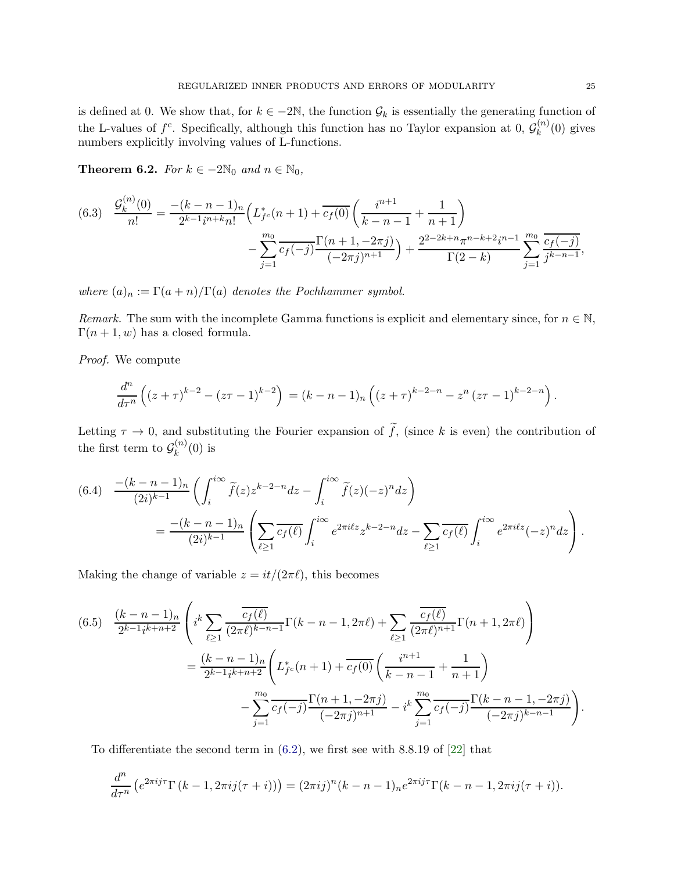is defined at 0. We show that, for  $k \in -2\mathbb{N}$ , the function  $\mathcal{G}_k$  is essentially the generating function of the L-values of  $f^c$ . Specifically, although this function has no Taylor expansion at 0,  $\mathcal{G}_k^{(n)}$  $\binom{n}{k}(0)$  gives numbers explicitly involving values of L-functions.

<span id="page-24-0"></span>Theorem 6.2. For  $k \in -2\mathbb{N}_0$  and  $n \in \mathbb{N}_0$ ,

<span id="page-24-2"></span>
$$
(6.3) \quad \frac{\mathcal{G}_k^{(n)}(0)}{n!} = \frac{-(k-n-1)_n}{2^{k-1}i^{n+k}n!} \left( L_{fc}^*(n+1) + \frac{1}{c_f(0)} \left( \frac{i^{n+1}}{k-n-1} + \frac{1}{n+1} \right) - \sum_{j=1}^{m_0} \frac{1}{c_f(-j)} \frac{\Gamma(n+1, -2\pi j)}{(-2\pi j)^{n+1}} \right) + \frac{2^{2-2k+n}\pi^{n-k+2}i^{n-1}}{\Gamma(2-k)} \sum_{j=1}^{m_0} \frac{\overline{c_f(-j)}}{j^{k-n-1}},
$$

where  $(a)_n := \Gamma(a+n)/\Gamma(a)$  denotes the Pochhammer symbol.

Remark. The sum with the incomplete Gamma functions is explicit and elementary since, for  $n \in \mathbb{N}$ ,  $\Gamma(n+1, w)$  has a closed formula.

Proof. We compute

$$
\frac{d^n}{d\tau^n}\left((z+\tau)^{k-2}-(z\tau-1)^{k-2}\right)=(k-n-1)_n\left((z+\tau)^{k-2-n}-z^n(z\tau-1)^{k-2-n}\right).
$$

Letting  $\tau \to 0$ , and substituting the Fourier expansion of  $\tilde{f}$ , (since k is even) the contribution of the first term to  $\mathcal{G}_k^{(n)}$  $\binom{n}{k}(0)$  is

$$
(6.4) \quad \frac{-(k-n-1)_n}{(2i)^{k-1}} \left( \int_i^{i\infty} \tilde{f}(z) z^{k-2-n} dz - \int_i^{i\infty} \tilde{f}(z) (-z)^n dz \right)
$$
  
= 
$$
\frac{-(k-n-1)_n}{(2i)^{k-1}} \left( \sum_{\ell \ge 1} \overline{c_f(\ell)} \int_i^{i\infty} e^{2\pi i \ell z} z^{k-2-n} dz - \sum_{\ell \ge 1} \overline{c_f(\ell)} \int_i^{i\infty} e^{2\pi i \ell z} (-z)^n dz \right).
$$

Making the change of variable  $z = it/(2\pi\ell)$ , this becomes

<span id="page-24-1"></span>
$$
(6.5) \quad \frac{(k-n-1)_n}{2^{k-1}i^{k+n+2}} \left( i^k \sum_{\ell \ge 1} \frac{\overline{c_f(\ell)}}{(2\pi \ell)^{k-n-1}} \Gamma(k-n-1, 2\pi \ell) + \sum_{\ell \ge 1} \frac{\overline{c_f(\ell)}}{(2\pi \ell)^{n+1}} \Gamma(n+1, 2\pi \ell) \right)
$$
  

$$
= \frac{(k-n-1)_n}{2^{k-1}i^{k+n+2}} \left( L_{fc}^*(n+1) + \overline{c_f(0)} \left( \frac{i^{n+1}}{k-n-1} + \frac{1}{n+1} \right) - \sum_{j=1}^{m_0} \overline{c_f(-j)} \frac{\Gamma(n+1, -2\pi j)}{(-2\pi j)^{n+1}} - i^k \sum_{j=1}^{m_0} \overline{c_f(-j)} \frac{\Gamma(k-n-1, -2\pi j)}{(-2\pi j)^{k-n-1}} \right).
$$

To differentiate the second term in [\(6.2\)](#page-23-1), we first see with 8.8.19 of [\[22](#page-26-5)] that

$$
\frac{d^n}{d\tau^n} \left( e^{2\pi ij\tau} \Gamma\left(k-1, 2\pi ij(\tau+i)\right) \right) = (2\pi ij)^n (k-n-1)_n e^{2\pi ij\tau} \Gamma(k-n-1, 2\pi ij(\tau+i)).
$$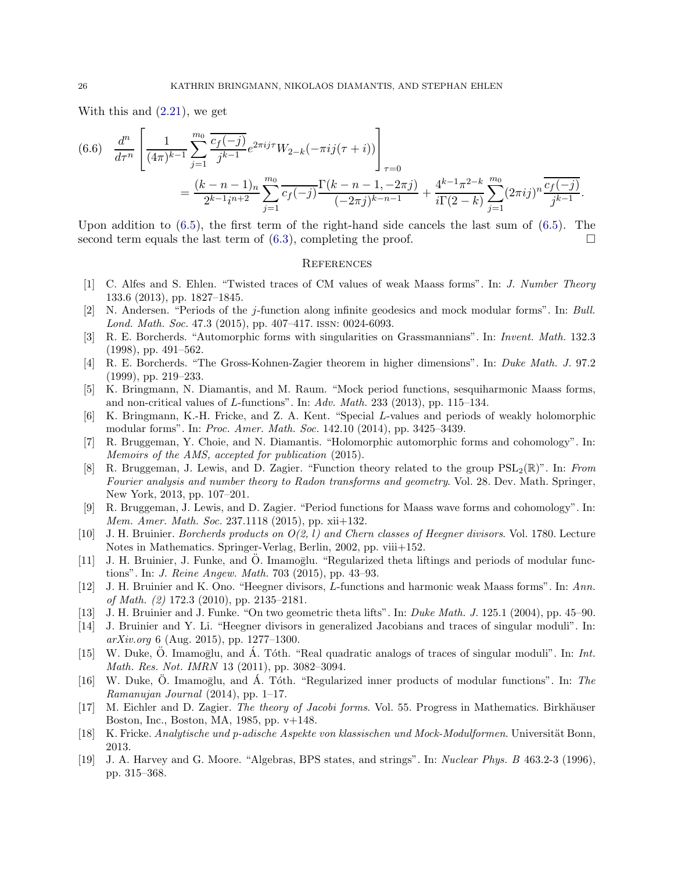With this and [\(2.21\)](#page-8-7), we get

$$
(6.6) \frac{d^n}{d\tau^n} \left[ \frac{1}{(4\pi)^{k-1}} \sum_{j=1}^{m_0} \frac{\overline{c_f(-j)}}{j^{k-1}} e^{2\pi i j \tau} W_{2-k}(-\pi i j(\tau+i)) \right]_{\tau=0}
$$
  
= 
$$
\frac{(k-n-1)_n}{2^{k-1}i^{n+2}} \sum_{j=1}^{m_0} \frac{\overline{c_f(-j)}}{c_f(-j)} \frac{\Gamma(k-n-1, -2\pi j)}{(-2\pi j)^{k-n-1}} + \frac{4^{k-1}\pi^{2-k}}{i\Gamma(2-k)} \sum_{j=1}^{m_0} (2\pi i j)^n \frac{\overline{c_f(-j)}}{j^{k-1}}.
$$

Upon addition to [\(6.5\)](#page-24-1), the first term of the right-hand side cancels the last sum of [\(6.5\)](#page-24-1). The second term equals the last term of  $(6.3)$ , completing the proof.

### **REFERENCES**

- <span id="page-25-7"></span>[1] C. Alfes and S. Ehlen. "Twisted traces of CM values of weak Maass forms". In: J. Number Theory 133.6 (2013), pp. 1827–1845.
- <span id="page-25-18"></span>[2] N. Andersen. "Periods of the j-function along infinite geodesics and mock modular forms". In: Bull. Lond. Math. Soc. 47.3 (2015), pp. 407–417. issn: 0024-6093.
- <span id="page-25-1"></span>[3] R. E. Borcherds. "Automorphic forms with singularities on Grassmannians". In: Invent. Math. 132.3 (1998), pp. 491–562.
- <span id="page-25-16"></span>[4] R. E. Borcherds. "The Gross-Kohnen-Zagier theorem in higher dimensions". In: Duke Math. J. 97.2 (1999), pp. 219–233.
- <span id="page-25-11"></span>[5] K. Bringmann, N. Diamantis, and M. Raum. "Mock period functions, sesquiharmonic Maass forms, and non-critical values of L-functions". In:  $Adv. Math. 233 (2013)$ , pp. 115–134.
- <span id="page-25-13"></span>[6] K. Bringmann, K.-H. Fricke, and Z. A. Kent. "Special L-values and periods of weakly holomorphic modular forms". In: Proc. Amer. Math. Soc. 142.10 (2014), pp. 3425–3439.
- <span id="page-25-8"></span>[7] R. Bruggeman, Y. Choie, and N. Diamantis. "Holomorphic automorphic forms and cohomology". In: Memoirs of the AMS, accepted for publication (2015).
- <span id="page-25-9"></span>[8] R. Bruggeman, J. Lewis, and D. Zagier. "Function theory related to the group  $PSL_2(\mathbb{R})$ ". In: From Fourier analysis and number theory to Radon transforms and geometry. Vol. 28. Dev. Math. Springer, New York, 2013, pp. 107–201.
- <span id="page-25-10"></span>[9] R. Bruggeman, J. Lewis, and D. Zagier. "Period functions for Maass wave forms and cohomology". In: Mem. Amer. Math. Soc. 237.1118 (2015), pp. xii+132.
- <span id="page-25-2"></span>[10] J. H. Bruinier. Borcherds products on  $O(2, l)$  and Chern classes of Heegner divisors. Vol. 1780. Lecture Notes in Mathematics. Springer-Verlag, Berlin, 2002, pp. viii+152.
- <span id="page-25-6"></span>[11] J. H. Bruinier, J. Funke, and O. Imamoglu. "Regularized theta liftings and periods of modular functions". In: J. Reine Angew. Math. 703 (2015), pp. 43–93.
- <span id="page-25-12"></span>[12] J. H. Bruinier and K. Ono. "Heegner divisors, L-functions and harmonic weak Maass forms". In: Ann. of Math. (2) 172.3 (2010), pp. 2135–2181.
- <span id="page-25-17"></span><span id="page-25-4"></span>[13] J. H. Bruinier and J. Funke. "On two geometric theta lifts". In: Duke Math. J. 125.1 (2004), pp. 45–90.
- [14] J. Bruinier and Y. Li. "Heegner divisors in generalized Jacobians and traces of singular moduli". In: arXiv.org 6 (Aug. 2015), pp. 1277–1300.
- <span id="page-25-5"></span>[15] W. Duke, O. Imamoglu, and  $\dot{A}$ . Tóth. "Real quadratic analogs of traces of singular moduli". In: Int. Math. Res. Not. IMRN 13 (2011), pp. 3082–3094.
- <span id="page-25-3"></span>[16] W. Duke, O. Imamoglu, and  $\AA$ . Tóth. "Regularized inner products of modular functions". In: The Ramanujan Journal (2014), pp. 1–17.
- <span id="page-25-15"></span>[17] M. Eichler and D. Zagier. The theory of Jacobi forms. Vol. 55. Progress in Mathematics. Birkhäuser Boston, Inc., Boston, MA, 1985, pp. v+148.
- <span id="page-25-14"></span><span id="page-25-0"></span>[18] K. Fricke. Analytische und p-adische Aspekte von klassischen und Mock-Modulformen. Universität Bonn, 2013.
- [19] J. A. Harvey and G. Moore. "Algebras, BPS states, and strings". In: Nuclear Phys. B 463.2-3 (1996), pp. 315–368.